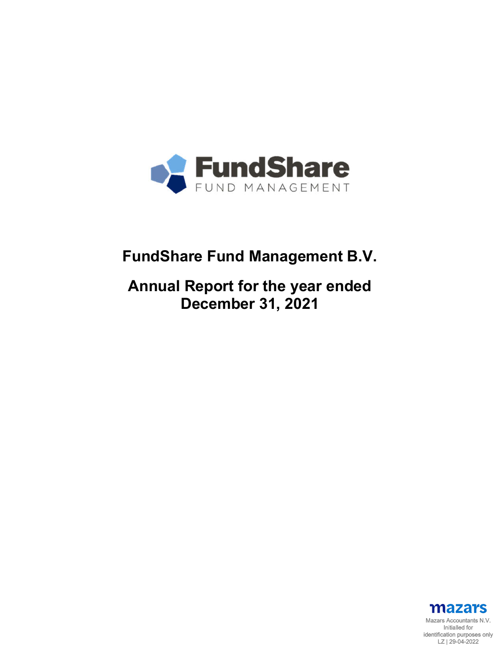

# **FundShare Fund Management B.V.**

# **Annual Report for the year ended December 31, 2021**

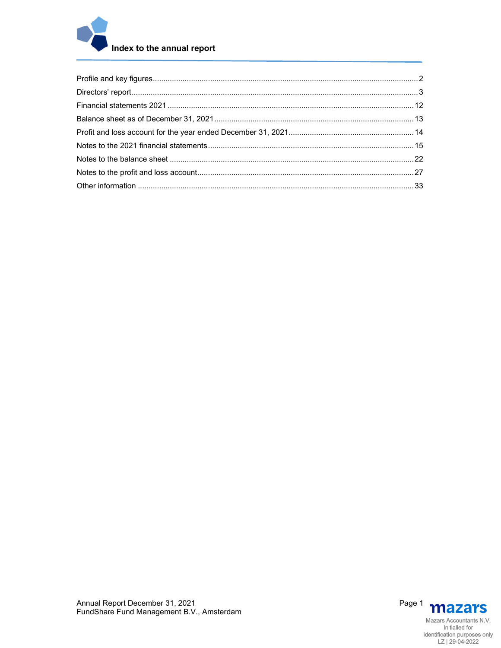

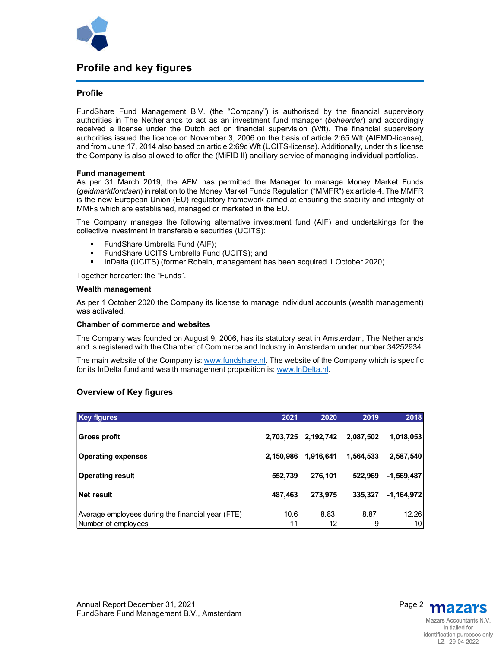

## **Profile and key figures**

#### **Profile**

FundShare Fund Management B.V. (the "Company") is authorised by the financial supervisory authorities in The Netherlands to act as an investment fund manager (*beheerder*) and accordingly received a license under the Dutch act on financial supervision (Wft). The financial supervisory authorities issued the licence on November 3, 2006 on the basis of article 2:65 Wft (AIFMD-license), and from June 17, 2014 also based on article 2:69c Wft (UCITS-license). Additionally, under this license the Company is also allowed to offer the (MiFID II) ancillary service of managing individual portfolios.

#### **Fund management**

As per 31 March 2019, the AFM has permitted the Manager to manage Money Market Funds (*geldmarktfondsen*) in relation to the Money Market Funds Regulation ("MMFR") ex article 4. The MMFR is the new European Union (EU) regulatory framework aimed at ensuring the stability and integrity of MMFs which are established, managed or marketed in the EU.

The Company manages the following alternative investment fund (AIF) and undertakings for the collective investment in transferable securities (UCITS):

- FundShare Umbrella Fund (AIF);
- FundShare UCITS Umbrella Fund (UCITS); and
- InDelta (UCITS) (former Robein, management has been acquired 1 October 2020)

Together hereafter: the "Funds".

#### **Wealth management**

As per 1 October 2020 the Company its license to manage individual accounts (wealth management) was activated.

#### **Chamber of commerce and websites**

The Company was founded on August 9, 2006, has its statutory seat in Amsterdam, The Netherlands and is registered with the Chamber of Commerce and Industry in Amsterdam under number 34252934.

The main website of the Company is: www.fundshare.nl. The website of the Company which is specific for its InDelta fund and wealth management proposition is: www.InDelta.nl.

#### **Overview of Key figures**

| Key figures                                       | 2021      | 2020                | 2019      | 2018         |
|---------------------------------------------------|-----------|---------------------|-----------|--------------|
|                                                   |           |                     |           |              |
| <b>Gross profit</b>                               |           | 2,703,725 2,192,742 | 2,087,502 | 1,018,053    |
|                                                   |           |                     |           |              |
| <b>Operating expenses</b>                         | 2,150,986 | 1,916,641           | 1,564,533 | 2,587,540    |
| <b>Operating result</b>                           | 552,739   | 276,101             | 522,969   | $-1,569,487$ |
|                                                   |           |                     |           |              |
| <b>Net result</b>                                 | 487,463   | 273,975             | 335,327   | $-1,164,972$ |
| Average employees during the financial year (FTE) | 10.6      | 8.83                | 8.87      | 12.26        |
| Number of employees                               | 11        | 12                  | 9         | 10           |

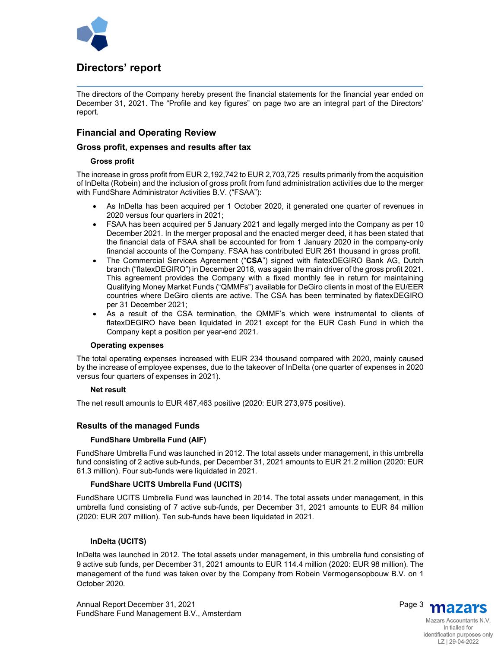

## **Directors' report**

The directors of the Company hereby present the financial statements for the financial year ended on December 31, 2021. The "Profile and key figures" on page two are an integral part of the Directors' report.

## **Financial and Operating Review**

#### **Gross profit, expenses and results after tax**

#### **Gross profit**

The increase in gross profit from EUR 2,192,742 to EUR 2,703,725 results primarily from the acquisition of InDelta (Robein) and the inclusion of gross profit from fund administration activities due to the merger with FundShare Administrator Activities B.V. ("FSAA"):

- As InDelta has been acquired per 1 October 2020, it generated one quarter of revenues in 2020 versus four quarters in 2021;
- FSAA has been acquired per 5 January 2021 and legally merged into the Company as per 10 December 2021. In the merger proposal and the enacted merger deed, it has been stated that the financial data of FSAA shall be accounted for from 1 January 2020 in the company-only financial accounts of the Company. FSAA has contributed EUR 261 thousand in gross profit.
- The Commercial Services Agreement ("**CSA**") signed with flatexDEGIRO Bank AG, Dutch branch ("flatexDEGIRO") in December 2018, was again the main driver of the gross profit 2021. This agreement provides the Company with a fixed monthly fee in return for maintaining Qualifying Money Market Funds ("QMMFs") available for DeGiro clients in most of the EU/EER countries where DeGiro clients are active. The CSA has been terminated by flatexDEGIRO per 31 December 2021;
- As a result of the CSA termination, the QMMF's which were instrumental to clients of flatexDEGIRO have been liquidated in 2021 except for the EUR Cash Fund in which the Company kept a position per year-end 2021.

#### **Operating expenses**

The total operating expenses increased with EUR 234 thousand compared with 2020, mainly caused by the increase of employee expenses, due to the takeover of InDelta (one quarter of expenses in 2020 versus four quarters of expenses in 2021).

#### **Net result**

The net result amounts to EUR 487,463 positive (2020: EUR 273,975 positive).

#### **Results of the managed Funds**

#### **FundShare Umbrella Fund (AIF)**

FundShare Umbrella Fund was launched in 2012. The total assets under management, in this umbrella fund consisting of 2 active sub-funds, per December 31, 2021 amounts to EUR 21.2 million (2020: EUR 61.3 million). Four sub-funds were liquidated in 2021.

#### **FundShare UCITS Umbrella Fund (UCITS)**

FundShare UCITS Umbrella Fund was launched in 2014. The total assets under management, in this umbrella fund consisting of 7 active sub-funds, per December 31, 2021 amounts to EUR 84 million (2020: EUR 207 million). Ten sub-funds have been liquidated in 2021.

#### **InDelta (UCITS)**

InDelta was launched in 2012. The total assets under management, in this umbrella fund consisting of 9 active sub funds, per December 31, 2021 amounts to EUR 114.4 million (2020: EUR 98 million). The management of the fund was taken over by the Company from Robein Vermogensopbouw B.V. on 1 October 2020.



Initialled for identification purposes only LZ | 29-04-2022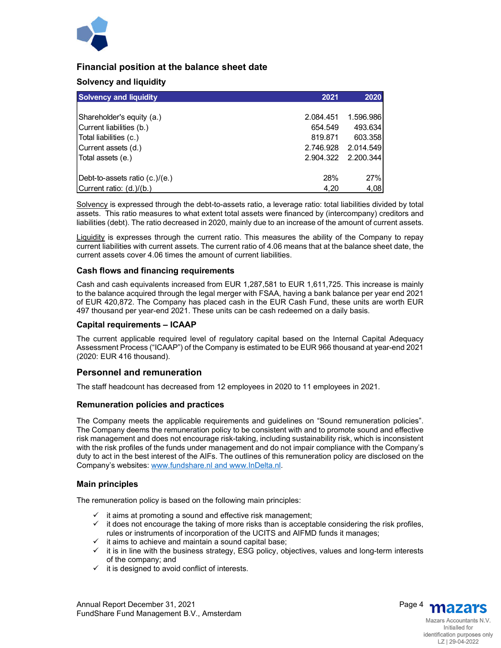

## **Financial position at the balance sheet date**

## **Solvency and liquidity**

| <b>Solvency and liquidity</b>   | 2021      | 2020      |
|---------------------------------|-----------|-----------|
|                                 |           |           |
| Shareholder's equity (a.)       | 2.084.451 | 1.596.986 |
| Current liabilities (b.)        | 654.549   | 493.634   |
| Total liabilities (c.)          | 819.871   | 603.358   |
| Current assets (d.)             | 2.746.928 | 2.014.549 |
| Total assets (e.)               | 2.904.322 | 2.200.344 |
| (Debt-to-assets ratio (c.)/(e.) | 28%       | 27%       |
| Current ratio: (d.)/(b.)        | 4,20      | 4,08      |

Solvency is expressed through the debt-to-assets ratio, a leverage ratio: total liabilities divided by total assets. This ratio measures to what extent total assets were financed by (intercompany) creditors and liabilities (debt). The ratio decreased in 2020, mainly due to an increase of the amount of current assets.

Liquidity is expresses through the current ratio. This measures the ability of the Company to repay current liabilities with current assets. The current ratio of 4.06 means that at the balance sheet date, the current assets cover 4.06 times the amount of current liabilities.

#### **Cash flows and financing requirements**

Cash and cash equivalents increased from EUR 1,287,581 to EUR 1,611,725. This increase is mainly to the balance acquired through the legal merger with FSAA, having a bank balance per year end 2021 of EUR 420,872. The Company has placed cash in the EUR Cash Fund, these units are worth EUR 497 thousand per year-end 2021. These units can be cash redeemed on a daily basis.

#### **Capital requirements – ICAAP**

The current applicable required level of regulatory capital based on the Internal Capital Adequacy Assessment Process ("ICAAP") of the Company is estimated to be EUR 966 thousand at year-end 2021 (2020: EUR 416 thousand).

#### **Personnel and remuneration**

The staff headcount has decreased from 12 employees in 2020 to 11 employees in 2021.

#### **Remuneration policies and practices**

The Company meets the applicable requirements and guidelines on "Sound remuneration policies". The Company deems the remuneration policy to be consistent with and to promote sound and effective risk management and does not encourage risk-taking, including sustainability risk, which is inconsistent with the risk profiles of the funds under management and do not impair compliance with the Company's duty to act in the best interest of the AIFs. The outlines of this remuneration policy are disclosed on the Company's websites: www.fundshare.nl and www.InDelta.nl.

#### **Main principles**

The remuneration policy is based on the following main principles:

- $\checkmark$  it aims at promoting a sound and effective risk management;
- $\checkmark$  it does not encourage the taking of more risks than is acceptable considering the risk profiles, rules or instruments of incorporation of the UCITS and AIFMD funds it manages;
- $\checkmark$  it aims to achieve and maintain a sound capital base;
- $\checkmark$  it is in line with the business strategy, ESG policy, objectives, values and long-term interests of the company; and
- $\checkmark$  it is designed to avoid conflict of interests.

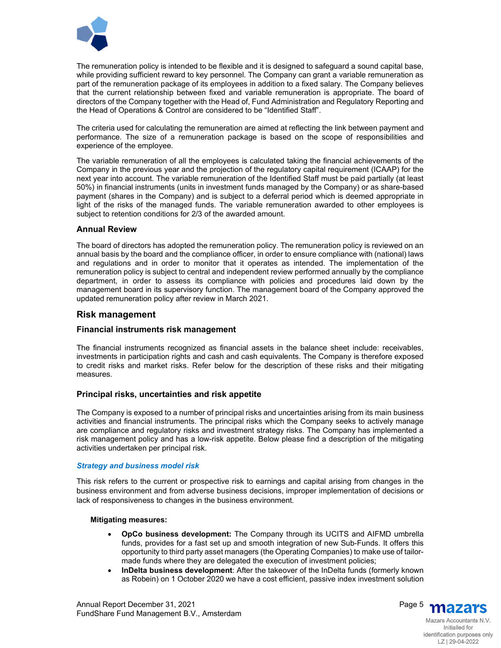

The remuneration policy is intended to be flexible and it is designed to safeguard a sound capital base, while providing sufficient reward to key personnel. The Company can grant a variable remuneration as part of the remuneration package of its employees in addition to a fixed salary. The Company believes that the current relationship between fixed and variable remuneration is appropriate. The board of directors of the Company together with the Head of, Fund Administration and Regulatory Reporting and the Head of Operations & Control are considered to be "Identified Staff".

The criteria used for calculating the remuneration are aimed at reflecting the link between payment and performance. The size of a remuneration package is based on the scope of responsibilities and experience of the employee.

The variable remuneration of all the employees is calculated taking the financial achievements of the Company in the previous year and the projection of the regulatory capital requirement (ICAAP) for the next year into account. The variable remuneration of the Identified Staff must be paid partially (at least 50%) in financial instruments (units in investment funds managed by the Company) or as share-based payment (shares in the Company) and is subject to a deferral period which is deemed appropriate in light of the risks of the managed funds. The variable remuneration awarded to other employees is subject to retention conditions for 2/3 of the awarded amount.

#### **Annual Review**

The board of directors has adopted the remuneration policy. The remuneration policy is reviewed on an annual basis by the board and the compliance officer, in order to ensure compliance with (national) laws and regulations and in order to monitor that it operates as intended. The implementation of the remuneration policy is subject to central and independent review performed annually by the compliance department, in order to assess its compliance with policies and procedures laid down by the management board in its supervisory function. The management board of the Company approved the updated remuneration policy after review in March 2021.

## **Risk management**

#### **Financial instruments risk management**

The financial instruments recognized as financial assets in the balance sheet include: receivables, investments in participation rights and cash and cash equivalents. The Company is therefore exposed to credit risks and market risks. Refer below for the description of these risks and their mitigating measures.

## **Principal risks, uncertainties and risk appetite**

The Company is exposed to a number of principal risks and uncertainties arising from its main business activities and financial instruments. The principal risks which the Company seeks to actively manage are compliance and regulatory risks and investment strategy risks. The Company has implemented a risk management policy and has a low-risk appetite. Below please find a description of the mitigating activities undertaken per principal risk.

#### *Strategy and business model risk*

This risk refers to the current or prospective risk to earnings and capital arising from changes in the business environment and from adverse business decisions, improper implementation of decisions or lack of responsiveness to changes in the business environment.

#### **Mitigating measures:**

- **OpCo business development:** The Company through its UCITS and AIFMD umbrella funds, provides for a fast set up and smooth integration of new Sub-Funds. It offers this opportunity to third party asset managers (the Operating Companies) to make use of tailormade funds where they are delegated the execution of investment policies;
- **InDelta business development**: After the takeover of the InDelta funds (formerly known as Robein) on 1 October 2020 we have a cost efficient, passive index investment solution



Mazars Accountants N.V. Initialled for identification purposes only LZ | 29-04-2022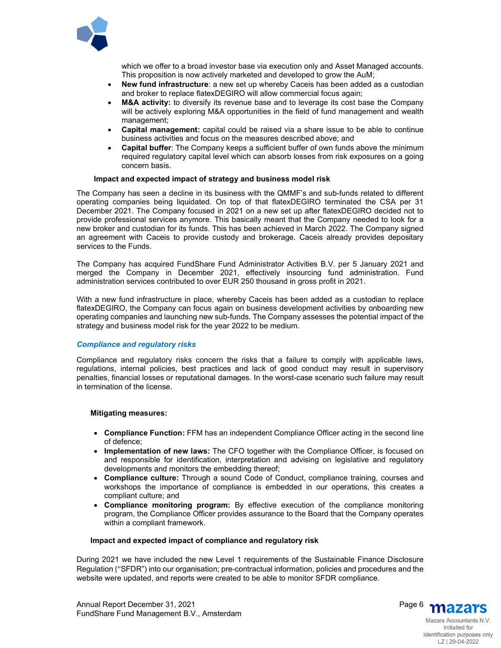

which we offer to a broad investor base via execution only and Asset Managed accounts. This proposition is now actively marketed and developed to grow the AuM;

- **New fund infrastructure**: a new set up whereby Caceis has been added as a custodian and broker to replace flatexDEGIRO will allow commercial focus again;
- **M&A activity:** to diversify its revenue base and to leverage its cost base the Company will be actively exploring M&A opportunities in the field of fund management and wealth management;
- **Capital management:** capital could be raised via a share issue to be able to continue business activities and focus on the measures described above; and
- **Capital buffer**: The Company keeps a sufficient buffer of own funds above the minimum required regulatory capital level which can absorb losses from risk exposures on a going concern basis.

#### **Impact and expected impact of strategy and business model risk**

The Company has seen a decline in its business with the QMMF's and sub-funds related to different operating companies being liquidated. On top of that flatexDEGIRO terminated the CSA per 31 December 2021. The Company focused in 2021 on a new set up after flatexDEGIRO decided not to provide professional services anymore. This basically meant that the Company needed to look for a new broker and custodian for its funds. This has been achieved in March 2022. The Company signed an agreement with Caceis to provide custody and brokerage. Caceis already provides depositary services to the Funds.

The Company has acquired FundShare Fund Administrator Activities B.V. per 5 January 2021 and merged the Company in December 2021, effectively insourcing fund administration. Fund administration services contributed to over EUR 250 thousand in gross profit in 2021.

With a new fund infrastructure in place, whereby Caceis has been added as a custodian to replace flatexDEGIRO, the Company can focus again on business development activities by onboarding new operating companies and launching new sub-funds. The Company assesses the potential impact of the strategy and business model risk for the year 2022 to be medium.

#### *Compliance and regulatory risks*

Compliance and regulatory risks concern the risks that a failure to comply with applicable laws, regulations, internal policies, best practices and lack of good conduct may result in supervisory penalties, financial losses or reputational damages. In the worst-case scenario such failure may result in termination of the license.

#### **Mitigating measures:**

- **Compliance Function:** FFM has an independent Compliance Officer acting in the second line of defence;
- **Implementation of new laws:** The CFO together with the Compliance Officer, is focused on and responsible for identification, interpretation and advising on legislative and regulatory developments and monitors the embedding thereof;
- **Compliance culture:** Through a sound Code of Conduct, compliance training, courses and workshops the importance of compliance is embedded in our operations, this creates a compliant culture; and
- **Compliance monitoring program:** By effective execution of the compliance monitoring program, the Compliance Officer provides assurance to the Board that the Company operates within a compliant framework.

#### **Impact and expected impact of compliance and regulatory risk**

During 2021 we have included the new Level 1 requirements of the Sustainable Finance Disclosure Regulation **("**SFDR") into our organisation; pre-contractual information, policies and procedures and the website were updated, and reports were created to be able to monitor SFDR compliance.



identification purposes only LZ | 29-04-2022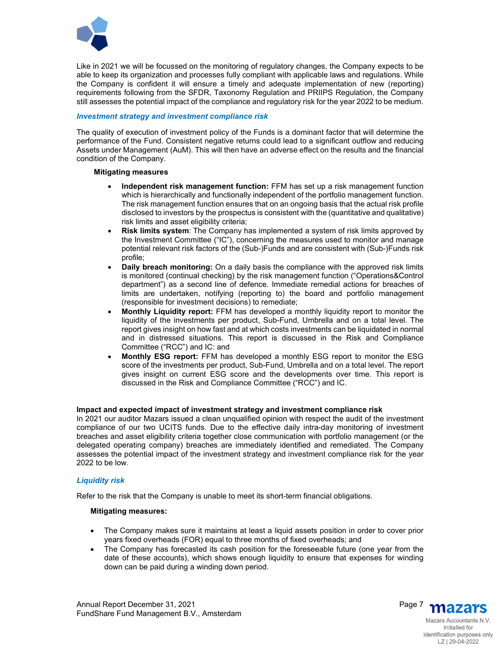

Like in 2021 we will be focussed on the monitoring of regulatory changes, the Company expects to be able to keep its organization and processes fully compliant with applicable laws and regulations. While the Company is confident it will ensure a timely and adequate implementation of new (reporting) requirements following from the SFDR, Taxonomy Regulation and PRIIPS Regulation, the Company still assesses the potential impact of the compliance and regulatory risk for the year 2022 to be medium.

#### *Investment strategy and investment compliance risk*

The quality of execution of investment policy of the Funds is a dominant factor that will determine the performance of the Fund. Consistent negative returns could lead to a significant outflow and reducing Assets under Management (AuM). This will then have an adverse effect on the results and the financial condition of the Company.

#### **Mitigating measures**

- **Independent risk management function:** FFM has set up a risk management function which is hierarchically and functionally independent of the portfolio management function. The risk management function ensures that on an ongoing basis that the actual risk profile disclosed to investors by the prospectus is consistent with the (quantitative and qualitative) risk limits and asset eligibility criteria;
- **Risk limits system**: The Company has implemented a system of risk limits approved by the Investment Committee ("IC"), concerning the measures used to monitor and manage potential relevant risk factors of the (Sub-)Funds and are consistent with (Sub-)Funds risk profile;
- **Daily breach monitoring:** On a daily basis the compliance with the approved risk limits is monitored (continual checking) by the risk management function ("Operations&Control department") as a second line of defence. Immediate remedial actions for breaches of limits are undertaken, notifying (reporting to) the board and portfolio management (responsible for investment decisions) to remediate;
- **Monthly Liquidity report:** FFM has developed a monthly liquidity report to monitor the liquidity of the investments per product, Sub-Fund, Umbrella and on a total level. The report gives insight on how fast and at which costs investments can be liquidated in normal and in distressed situations. This report is discussed in the Risk and Compliance Committee ("RCC") and IC: and
- **Monthly ESG report:** FFM has developed a monthly ESG report to monitor the ESG score of the investments per product, Sub-Fund, Umbrella and on a total level. The report gives insight on current ESG score and the developments over time. This report is discussed in the Risk and Compliance Committee ("RCC") and IC.

#### **Impact and expected impact of investment strategy and investment compliance risk**

In 2021 our auditor Mazars issued a clean unqualified opinion with respect the audit of the investment compliance of our two UCITS funds. Due to the effective daily intra-day monitoring of investment breaches and asset eligibility criteria together close communication with portfolio management (or the delegated operating company) breaches are immediately identified and remediated. The Company assesses the potential impact of the investment strategy and investment compliance risk for the year 2022 to be low.

#### *Liquidity risk*

Refer to the risk that the Company is unable to meet its short-term financial obligations.

#### **Mitigating measures:**

- The Company makes sure it maintains at least a liquid assets position in order to cover prior years fixed overheads (FOR) equal to three months of fixed overheads; and
- The Company has forecasted its cash position for the foreseeable future (one year from the date of these accounts), which shows enough liquidity to ensure that expenses for winding down can be paid during a winding down period.

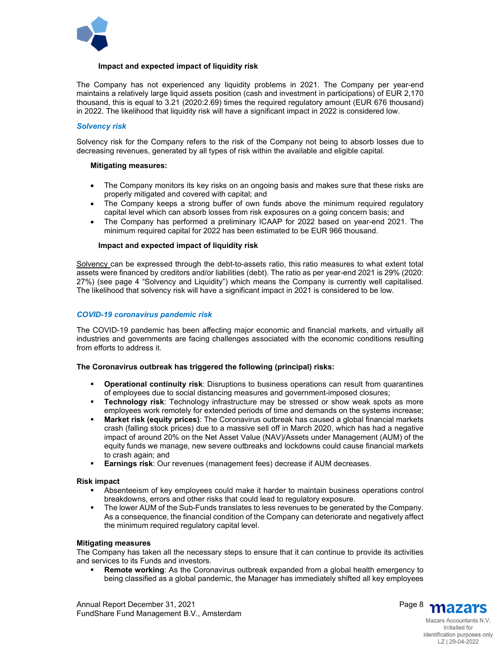

#### **Impact and expected impact of liquidity risk**

The Company has not experienced any liquidity problems in 2021. The Company per year-end maintains a relatively large liquid assets position (cash and investment in participations) of EUR 2,170 thousand, this is equal to 3.21 (2020:2.69) times the required regulatory amount (EUR 676 thousand) in 2022. The likelihood that liquidity risk will have a significant impact in 2022 is considered low.

#### *Solvency risk*

Solvency risk for the Company refers to the risk of the Company not being to absorb losses due to decreasing revenues, generated by all types of risk within the available and eligible capital.

#### **Mitigating measures:**

- The Company monitors its key risks on an ongoing basis and makes sure that these risks are properly mitigated and covered with capital; and
- The Company keeps a strong buffer of own funds above the minimum required regulatory capital level which can absorb losses from risk exposures on a going concern basis; and
- The Company has performed a preliminary ICAAP for 2022 based on year-end 2021. The minimum required capital for 2022 has been estimated to be EUR 966 thousand.

#### **Impact and expected impact of liquidity risk**

Solvency can be expressed through the debt-to-assets ratio, this ratio measures to what extent total assets were financed by creditors and/or liabilities (debt). The ratio as per year-end 2021 is 29% (2020: 27%) (see page 4 "Solvency and Liquidity") which means the Company is currently well capitalised. The likelihood that solvency risk will have a significant impact in 2021 is considered to be low.

#### *COVID-19 coronavirus pandemic risk*

The COVID-19 pandemic has been affecting major economic and financial markets, and virtually all industries and governments are facing challenges associated with the economic conditions resulting from efforts to address it.

#### **The Coronavirus outbreak has triggered the following (principal) risks:**

- **Operational continuity risk**: Disruptions to business operations can result from quarantines of employees due to social distancing measures and government-imposed closures;
- **Technology risk**: Technology infrastructure may be stressed or show weak spots as more employees work remotely for extended periods of time and demands on the systems increase;
- **Market risk (equity prices)**: The Coronavirus outbreak has caused a global financial markets crash (falling stock prices) due to a massive sell off in March 2020, which has had a negative impact of around 20% on the Net Asset Value (NAV)/Assets under Management (AUM) of the equity funds we manage, new severe outbreaks and lockdowns could cause financial markets to crash again; and
- **Earnings risk**: Our revenues (management fees) decrease if AUM decreases.

#### **Risk impact**

- Absenteeism of key employees could make it harder to maintain business operations control breakdowns, errors and other risks that could lead to regulatory exposure.
- The lower AUM of the Sub-Funds translates to less revenues to be generated by the Company. As a consequence, the financial condition of the Company can deteriorate and negatively affect the minimum required regulatory capital level.

#### **Mitigating measures**

The Company has taken all the necessary steps to ensure that it can continue to provide its activities and services to its Funds and investors.

 **Remote working**: As the Coronavirus outbreak expanded from a global health emergency to being classified as a global pandemic, the Manager has immediately shifted all key employees



Mazars Accountants N.V. Initialled for identification purposes only LZ | 29-04-2022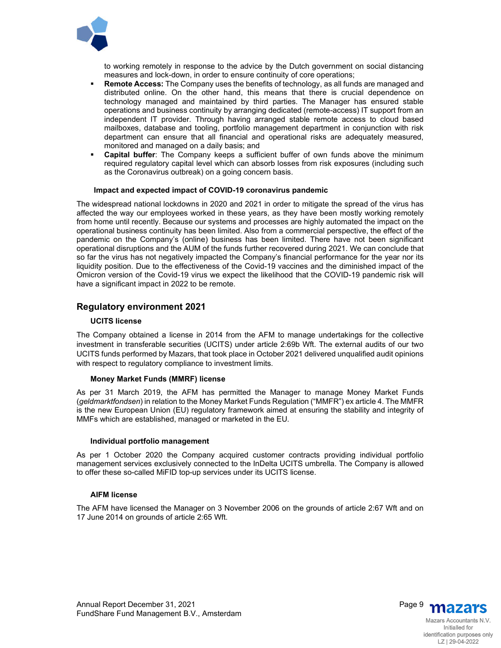

to working remotely in response to the advice by the Dutch government on social distancing measures and lock-down, in order to ensure continuity of core operations;

- **Remote Access:** The Company uses the benefits of technology, as all funds are managed and distributed online. On the other hand, this means that there is crucial dependence on technology managed and maintained by third parties. The Manager has ensured stable operations and business continuity by arranging dedicated (remote-access) IT support from an independent IT provider. Through having arranged stable remote access to cloud based mailboxes, database and tooling, portfolio management department in conjunction with risk department can ensure that all financial and operational risks are adequately measured, monitored and managed on a daily basis; and
- **Capital buffer**: The Company keeps a sufficient buffer of own funds above the minimum required regulatory capital level which can absorb losses from risk exposures (including such as the Coronavirus outbreak) on a going concern basis.

#### **Impact and expected impact of COVID-19 coronavirus pandemic**

The widespread national lockdowns in 2020 and 2021 in order to mitigate the spread of the virus has affected the way our employees worked in these years, as they have been mostly working remotely from home until recently. Because our systems and processes are highly automated the impact on the operational business continuity has been limited. Also from a commercial perspective, the effect of the pandemic on the Company's (online) business has been limited. There have not been significant operational disruptions and the AUM of the funds further recovered during 2021. We can conclude that so far the virus has not negatively impacted the Company's financial performance for the year nor its liquidity position. Due to the effectiveness of the Covid-19 vaccines and the diminished impact of the Omicron version of the Covid-19 virus we expect the likelihood that the COVID-19 pandemic risk will have a significant impact in 2022 to be remote.

#### **Regulatory environment 2021**

#### **UCITS license**

The Company obtained a license in 2014 from the AFM to manage undertakings for the collective investment in transferable securities (UCITS) under article 2:69b Wft. The external audits of our two UCITS funds performed by Mazars, that took place in October 2021 delivered unqualified audit opinions with respect to regulatory compliance to investment limits.

#### **Money Market Funds (MMRF) license**

As per 31 March 2019, the AFM has permitted the Manager to manage Money Market Funds (*geldmarktfondsen*) in relation to the Money Market Funds Regulation ("MMFR") ex article 4. The MMFR is the new European Union (EU) regulatory framework aimed at ensuring the stability and integrity of MMFs which are established, managed or marketed in the EU.

#### **Individual portfolio management**

As per 1 October 2020 the Company acquired customer contracts providing individual portfolio management services exclusively connected to the InDelta UCITS umbrella. The Company is allowed to offer these so-called MiFID top-up services under its UCITS license.

#### **AIFM license**

The AFM have licensed the Manager on 3 November 2006 on the grounds of article 2:67 Wft and on 17 June 2014 on grounds of article 2:65 Wft.



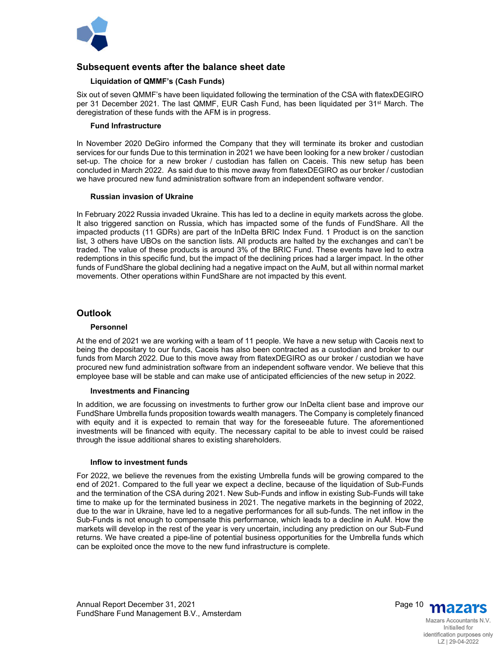

## **Subsequent events after the balance sheet date**

#### **Liquidation of QMMF's (Cash Funds)**

Six out of seven QMMF's have been liquidated following the termination of the CSA with flatexDEGIRO per 31 December 2021. The last QMMF, EUR Cash Fund, has been liquidated per 31<sup>st</sup> March. The deregistration of these funds with the AFM is in progress.

#### **Fund Infrastructure**

In November 2020 DeGiro informed the Company that they will terminate its broker and custodian services for our funds Due to this termination in 2021 we have been looking for a new broker / custodian set-up. The choice for a new broker / custodian has fallen on Caceis. This new setup has been concluded in March 2022. As said due to this move away from flatexDEGIRO as our broker / custodian we have procured new fund administration software from an independent software vendor.

#### **Russian invasion of Ukraine**

In February 2022 Russia invaded Ukraine. This has led to a decline in equity markets across the globe. It also triggered sanction on Russia, which has impacted some of the funds of FundShare. All the impacted products (11 GDRs) are part of the InDelta BRIC Index Fund. 1 Product is on the sanction list, 3 others have UBOs on the sanction lists. All products are halted by the exchanges and can't be traded. The value of these products is around 3% of the BRIC Fund. These events have led to extra redemptions in this specific fund, but the impact of the declining prices had a larger impact. In the other funds of FundShare the global declining had a negative impact on the AuM, but all within normal market movements. Other operations within FundShare are not impacted by this event.

## **Outlook**

#### **Personnel**

At the end of 2021 we are working with a team of 11 people. We have a new setup with Caceis next to being the depositary to our funds, Caceis has also been contracted as a custodian and broker to our funds from March 2022. Due to this move away from flatexDEGIRO as our broker / custodian we have procured new fund administration software from an independent software vendor. We believe that this employee base will be stable and can make use of anticipated efficiencies of the new setup in 2022.

#### **Investments and Financing**

In addition, we are focussing on investments to further grow our InDelta client base and improve our FundShare Umbrella funds proposition towards wealth managers. The Company is completely financed with equity and it is expected to remain that way for the foreseeable future. The aforementioned investments will be financed with equity. The necessary capital to be able to invest could be raised through the issue additional shares to existing shareholders.

#### **Inflow to investment funds**

For 2022, we believe the revenues from the existing Umbrella funds will be growing compared to the end of 2021. Compared to the full year we expect a decline, because of the liquidation of Sub-Funds and the termination of the CSA during 2021. New Sub-Funds and inflow in existing Sub-Funds will take time to make up for the terminated business in 2021. The negative markets in the beginning of 2022, due to the war in Ukraine, have led to a negative performances for all sub-funds. The net inflow in the Sub-Funds is not enough to compensate this performance, which leads to a decline in AuM. How the markets will develop in the rest of the year is very uncertain, including any prediction on our Sub-Fund returns. We have created a pipe-line of potential business opportunities for the Umbrella funds which can be exploited once the move to the new fund infrastructure is complete.

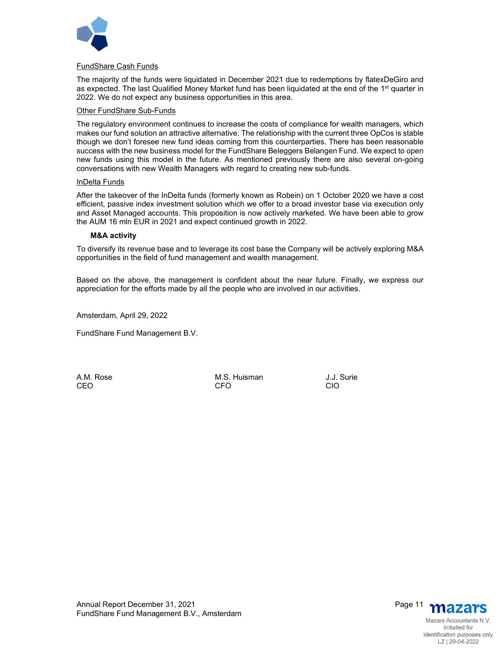

#### FundShare Cash Funds

The majority of the funds were liquidated in December 2021 due to redemptions by flatexDeGiro and as expected. The last Qualified Money Market fund has been liquidated at the end of the 1<sup>st</sup> quarter in 2022. We do not expect any business opportunities in this area.

#### Other FundShare Sub-Funds

The regulatory environment continues to increase the costs of compliance for wealth managers, which makes our fund solution an attractive alternative. The relationship with the current three OpCos is stable though we don't foresee new fund ideas coming from this counterparties. There has been reasonable success with the new business model for the FundShare Beleggers Belangen Fund. We expect to open new funds using this model in the future. As mentioned previously there are also several on-going conversations with new Wealth Managers with regard to creating new sub-funds.

#### InDelta Funds

After the takeover of the InDelta funds (formerly known as Robein) on 1 October 2020 we have a cost efficient, passive index investment solution which we offer to a broad investor base via execution only and Asset Managed accounts. This proposition is now actively marketed. We have been able to grow the AUM 16 mln EUR in 2021 and expect continued growth in 2022.

#### **M&A activity**

To diversify its revenue base and to leverage its cost base the Company will be actively exploring M&A opportunities in the field of fund management and wealth management.

Based on the above, the management is confident about the near future. Finally, we express our appreciation for the efforts made by all the people who are involved in our activities.

Amsterdam, April 29, 2022

FundShare Fund Management B.V.

A.M. Rose **M.S. Huisman** J.J. Surie CEO CFO CIO

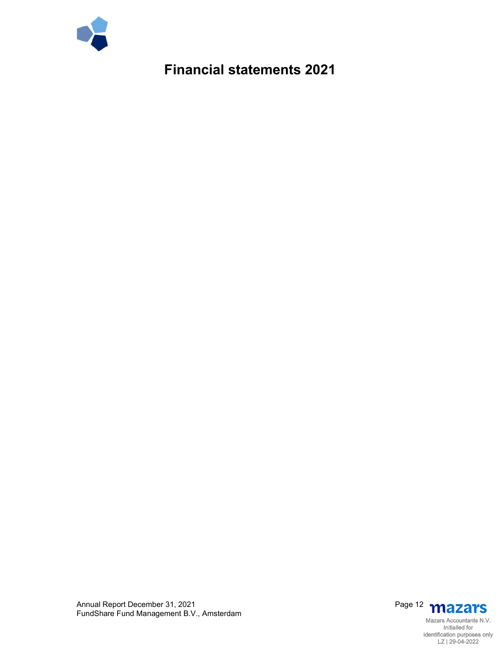

**Financial statements 2021**



Annual Report December 31, 2021 Page 12 FundShare Fund Management B.V., Amsterdam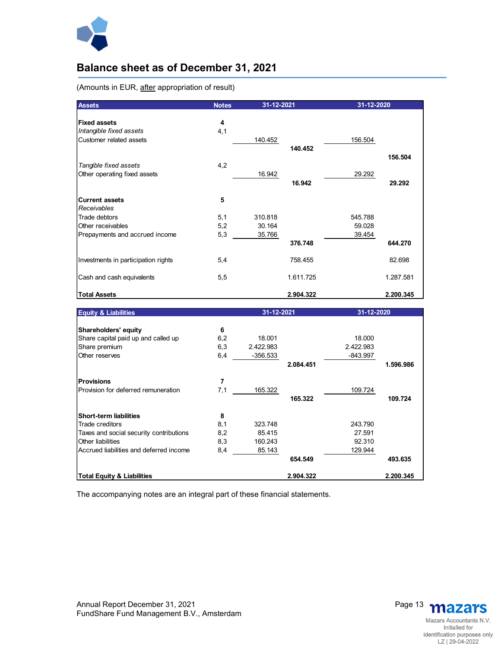

## **Balance sheet as of December 31, 2021**

(Amounts in EUR, after appropriation of result)

| <b>Assets</b>                                                             | <b>Notes</b> | 31-12-2021 |           | 31-12-2020 |           |
|---------------------------------------------------------------------------|--------------|------------|-----------|------------|-----------|
| <b>Fixed assets</b><br>Intangible fixed assets<br>Customer related assets | 4<br>4,1     | 140.452    |           | 156.504    |           |
| Tangible fixed assets                                                     | 4,2          |            | 140.452   |            | 156.504   |
| Other operating fixed assets                                              |              | 16.942     | 16.942    | 29.292     | 29.292    |
| <b>Current assets</b><br>Receivables                                      | 5            |            |           |            |           |
| Trade debtors                                                             | 5,1          | 310.818    |           | 545.788    |           |
| Other receivables                                                         | 5,2          | 30.164     |           | 59.028     |           |
| Prepayments and accrued income                                            | 5,3          | 35.766     | 376.748   | 39.454     | 644.270   |
| Investments in participation rights                                       | 5,4          |            | 758.455   |            | 82.698    |
| Cash and cash equivalents                                                 | 5,5          |            | 1.611.725 |            | 1.287.581 |
| <b>Total Assets</b>                                                       |              |            | 2.904.322 |            | 2.200.345 |

| <b>Equity &amp; Liabilities</b>         |     | 31-12-2021 |           | 31-12-2020 |           |
|-----------------------------------------|-----|------------|-----------|------------|-----------|
|                                         |     |            |           |            |           |
| Shareholders' equity                    | 6   |            |           |            |           |
| Share capital paid up and called up     | 6,2 | 18.001     |           | 18.000     |           |
| Share premium                           | 6,3 | 2.422.983  |           | 2.422.983  |           |
| Other reserves                          | 6,4 | $-356.533$ |           | -843.997   |           |
|                                         |     |            | 2.084.451 |            | 1.596.986 |
| <b>Provisions</b>                       | 7   |            |           |            |           |
| Provision for deferred remuneration     | 7,1 | 165.322    |           | 109.724    |           |
|                                         |     |            | 165.322   |            | 109.724   |
| <b>Short-term liabilities</b>           | 8   |            |           |            |           |
| Trade creditors                         | 8,1 | 323.748    |           | 243.790    |           |
| Taxes and social security contributions | 8,2 | 85.415     |           | 27.591     |           |
| Other liabilities                       | 8,3 | 160.243    |           | 92.310     |           |
| Accrued liabilities and deferred income | 8,4 | 85.143     |           | 129.944    |           |
|                                         |     |            | 654.549   |            | 493.635   |
| <b>Total Equity &amp; Liabilities</b>   |     |            | 2.904.322 |            | 2.200.345 |

The accompanying notes are an integral part of these financial statements.

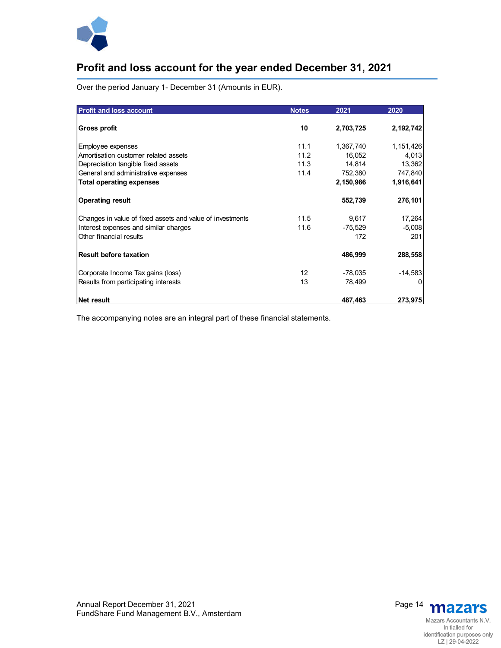

## **Profit and loss account for the year ended December 31, 2021**

Over the period January 1- December 31 (Amounts in EUR).

| <b>Profit and loss account</b>                            | <b>Notes</b>    | 2021      | 2020      |
|-----------------------------------------------------------|-----------------|-----------|-----------|
| Gross profit                                              | 10              | 2,703,725 | 2,192,742 |
| Employee expenses                                         | 11.1            | 1,367,740 | 1,151,426 |
| Amortisation customer related assets                      | 11.2            | 16,052    | 4,013     |
| Depreciation tangible fixed assets                        | 11.3            | 14,814    | 13,362    |
| General and administrative expenses                       | 11.4            | 752,380   | 747,840   |
| <b>Total operating expenses</b>                           |                 | 2,150,986 | 1,916,641 |
| <b>Operating result</b>                                   |                 | 552,739   | 276,101   |
| Changes in value of fixed assets and value of investments | 11.5            | 9,617     | 17,264    |
| Interest expenses and similar charges                     | 11.6            | $-75,529$ | $-5,008$  |
| Other financial results                                   |                 | 172       | 201       |
| <b>Result before taxation</b>                             |                 | 486,999   | 288,558   |
| Corporate Income Tax gains (loss)                         | 12 <sup>2</sup> | $-78,035$ | $-14,583$ |
| Results from participating interests                      | 13              | 78,499    | 0         |
| Net result                                                |                 | 487,463   | 273,975   |

The accompanying notes are an integral part of these financial statements.

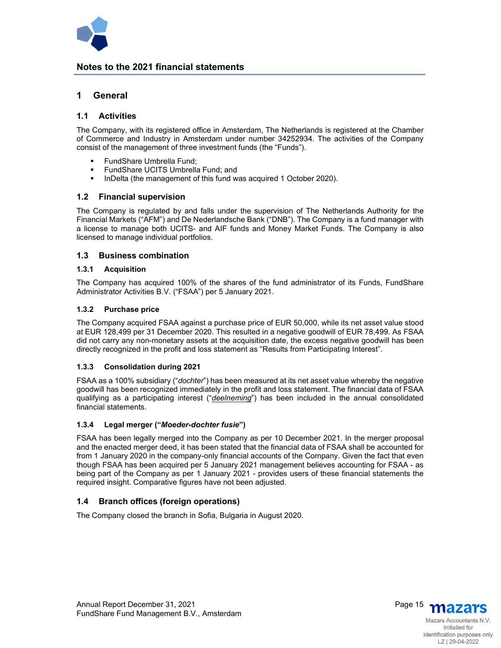

## **Notes to the 2021 financial statements**

## **1 General**

#### **1.1 Activities**

The Company, with its registered office in Amsterdam, The Netherlands is registered at the Chamber of Commerce and Industry in Amsterdam under number 34252934. The activities of the Company consist of the management of three investment funds (the "Funds").

- **FundShare Umbrella Fund;**
- FundShare UCITS Umbrella Fund; and
- **InDelta (the management of this fund was acquired 1 October 2020).**

## **1.2 Financial supervision**

The Company is regulated by and falls under the supervision of The Netherlands Authority for the Financial Markets ("AFM") and De Nederlandsche Bank ("DNB"). The Company is a fund manager with a license to manage both UCITS- and AIF funds and Money Market Funds. The Company is also licensed to manage individual portfolios.

## **1.3 Business combination**

#### **1.3.1 Acquisition**

The Company has acquired 100% of the shares of the fund administrator of its Funds, FundShare Administrator Activities B.V. ("FSAA") per 5 January 2021.

#### **1.3.2 Purchase price**

The Company acquired FSAA against a purchase price of EUR 50,000, while its net asset value stood at EUR 128,499 per 31 December 2020. This resulted in a negative goodwill of EUR 78,499. As FSAA did not carry any non-monetary assets at the acquisition date, the excess negative goodwill has been directly recognized in the profit and loss statement as "Results from Participating Interest".

#### **1.3.3 Consolidation during 2021**

FSAA as a 100% subsidiary ("*dochter*") has been measured at its net asset value whereby the negative goodwill has been recognized immediately in the profit and loss statement. The financial data of FSAA qualifying as a participating interest ("*deelneming*") has been included in the annual consolidated financial statements.

#### **1.3.4 Legal merger ("***Moeder-dochter fusie***")**

FSAA has been legally merged into the Company as per 10 December 2021. In the merger proposal and the enacted merger deed, it has been stated that the financial data of FSAA shall be accounted for from 1 January 2020 in the company-only financial accounts of the Company. Given the fact that even though FSAA has been acquired per 5 January 2021 management believes accounting for FSAA - as being part of the Company as per 1 January 2021 - provides users of these financial statements the required insight. Comparative figures have not been adjusted.

## **1.4 Branch offices (foreign operations)**

The Company closed the branch in Sofia, Bulgaria in August 2020.

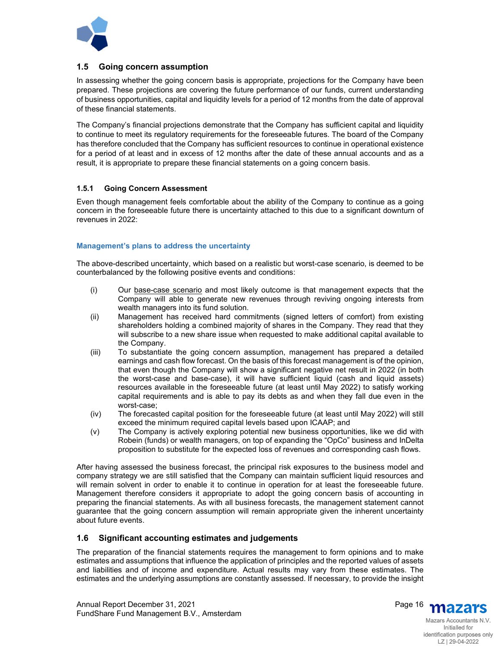

## **1.5 Going concern assumption**

In assessing whether the going concern basis is appropriate, projections for the Company have been prepared. These projections are covering the future performance of our funds, current understanding of business opportunities, capital and liquidity levels for a period of 12 months from the date of approval of these financial statements.

The Company's financial projections demonstrate that the Company has sufficient capital and liquidity to continue to meet its regulatory requirements for the foreseeable futures. The board of the Company has therefore concluded that the Company has sufficient resources to continue in operational existence for a period of at least and in excess of 12 months after the date of these annual accounts and as a result, it is appropriate to prepare these financial statements on a going concern basis.

## **1.5.1 Going Concern Assessment**

Even though management feels comfortable about the ability of the Company to continue as a going concern in the foreseeable future there is uncertainty attached to this due to a significant downturn of revenues in 2022:

## **Management's plans to address the uncertainty**

The above-described uncertainty, which based on a realistic but worst-case scenario, is deemed to be counterbalanced by the following positive events and conditions:

- (i) Our base-case scenario and most likely outcome is that management expects that the Company will able to generate new revenues through reviving ongoing interests from wealth managers into its fund solution.
- (ii) Management has received hard commitments (signed letters of comfort) from existing shareholders holding a combined majority of shares in the Company. They read that they will subscribe to a new share issue when requested to make additional capital available to the Company.
- (iii) To substantiate the going concern assumption, management has prepared a detailed earnings and cash flow forecast. On the basis of this forecast management is of the opinion, that even though the Company will show a significant negative net result in 2022 (in both the worst-case and base-case), it will have sufficient liquid (cash and liquid assets) resources available in the foreseeable future (at least until May 2022) to satisfy working capital requirements and is able to pay its debts as and when they fall due even in the worst-case;
- (iv) The forecasted capital position for the foreseeable future (at least until May 2022) will still exceed the minimum required capital levels based upon ICAAP; and
- (v) The Company is actively exploring potential new business opportunities, like we did with Robein (funds) or wealth managers, on top of expanding the "OpCo" business and InDelta proposition to substitute for the expected loss of revenues and corresponding cash flows.

After having assessed the business forecast, the principal risk exposures to the business model and company strategy we are still satisfied that the Company can maintain sufficient liquid resources and will remain solvent in order to enable it to continue in operation for at least the foreseeable future. Management therefore considers it appropriate to adopt the going concern basis of accounting in preparing the financial statements. As with all business forecasts, the management statement cannot guarantee that the going concern assumption will remain appropriate given the inherent uncertainty about future events.

## **1.6 Significant accounting estimates and judgements**

The preparation of the financial statements requires the management to form opinions and to make estimates and assumptions that influence the application of principles and the reported values of assets and liabilities and of income and expenditure. Actual results may vary from these estimates. The estimates and the underlying assumptions are constantly assessed. If necessary, to provide the insight



Mazars Accountants N.V. Initialled for identification purposes only LZ | 29-04-2022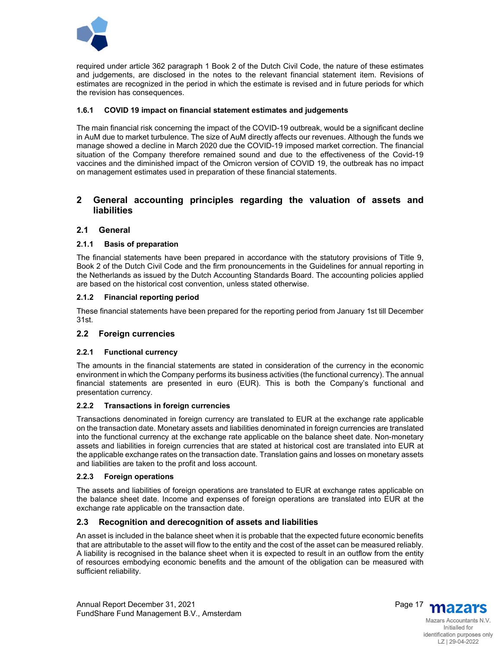

required under article 362 paragraph 1 Book 2 of the Dutch Civil Code, the nature of these estimates and judgements, are disclosed in the notes to the relevant financial statement item. Revisions of estimates are recognized in the period in which the estimate is revised and in future periods for which the revision has consequences.

## **1.6.1 COVID 19 impact on financial statement estimates and judgements**

The main financial risk concerning the impact of the COVID-19 outbreak, would be a significant decline in AuM due to market turbulence. The size of AuM directly affects our revenues. Although the funds we manage showed a decline in March 2020 due the COVID-19 imposed market correction. The financial situation of the Company therefore remained sound and due to the effectiveness of the Covid-19 vaccines and the diminished impact of the Omicron version of COVID 19, the outbreak has no impact on management estimates used in preparation of these financial statements.

## **2 General accounting principles regarding the valuation of assets and liabilities**

## **2.1 General**

#### **2.1.1 Basis of preparation**

The financial statements have been prepared in accordance with the statutory provisions of Title 9, Book 2 of the Dutch Civil Code and the firm pronouncements in the Guidelines for annual reporting in the Netherlands as issued by the Dutch Accounting Standards Board. The accounting policies applied are based on the historical cost convention, unless stated otherwise.

#### **2.1.2 Financial reporting period**

These financial statements have been prepared for the reporting period from January 1st till December 31st.

## **2.2 Foreign currencies**

#### **2.2.1 Functional currency**

The amounts in the financial statements are stated in consideration of the currency in the economic environment in which the Company performs its business activities (the functional currency). The annual financial statements are presented in euro (EUR). This is both the Company's functional and presentation currency.

#### **2.2.2 Transactions in foreign currencies**

Transactions denominated in foreign currency are translated to EUR at the exchange rate applicable on the transaction date. Monetary assets and liabilities denominated in foreign currencies are translated into the functional currency at the exchange rate applicable on the balance sheet date. Non-monetary assets and liabilities in foreign currencies that are stated at historical cost are translated into EUR at the applicable exchange rates on the transaction date. Translation gains and losses on monetary assets and liabilities are taken to the profit and loss account.

#### **2.2.3 Foreign operations**

The assets and liabilities of foreign operations are translated to EUR at exchange rates applicable on the balance sheet date. Income and expenses of foreign operations are translated into EUR at the exchange rate applicable on the transaction date.

## **2.3 Recognition and derecognition of assets and liabilities**

An asset is included in the balance sheet when it is probable that the expected future economic benefits that are attributable to the asset will flow to the entity and the cost of the asset can be measured reliably. A liability is recognised in the balance sheet when it is expected to result in an outflow from the entity of resources embodying economic benefits and the amount of the obligation can be measured with sufficient reliability.

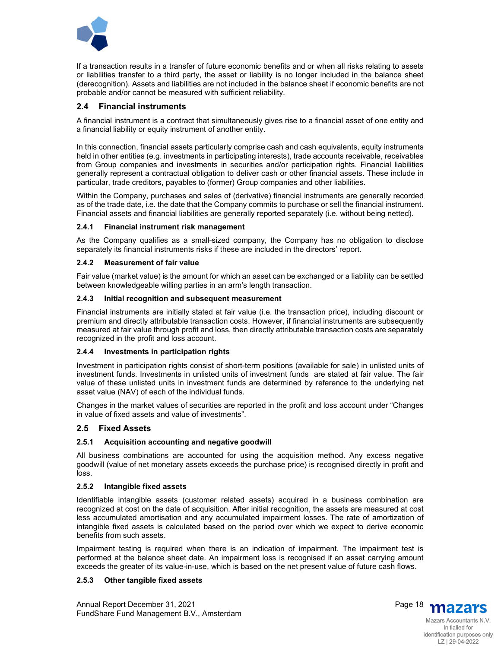

If a transaction results in a transfer of future economic benefits and or when all risks relating to assets or liabilities transfer to a third party, the asset or liability is no longer included in the balance sheet (derecognition). Assets and liabilities are not included in the balance sheet if economic benefits are not probable and/or cannot be measured with sufficient reliability.

## **2.4 Financial instruments**

A financial instrument is a contract that simultaneously gives rise to a financial asset of one entity and a financial liability or equity instrument of another entity.

In this connection, financial assets particularly comprise cash and cash equivalents, equity instruments held in other entities (e.g. investments in participating interests), trade accounts receivable, receivables from Group companies and investments in securities and/or participation rights. Financial liabilities generally represent a contractual obligation to deliver cash or other financial assets. These include in particular, trade creditors, payables to (former) Group companies and other liabilities.

Within the Company, purchases and sales of (derivative) financial instruments are generally recorded as of the trade date, i.e. the date that the Company commits to purchase or sell the financial instrument. Financial assets and financial liabilities are generally reported separately (i.e. without being netted).

#### **2.4.1 Financial instrument risk management**

As the Company qualifies as a small-sized company, the Company has no obligation to disclose separately its financial instruments risks if these are included in the directors' report.

#### **2.4.2 Measurement of fair value**

Fair value (market value) is the amount for which an asset can be exchanged or a liability can be settled between knowledgeable willing parties in an arm's length transaction.

#### **2.4.3 Initial recognition and subsequent measurement**

Financial instruments are initially stated at fair value (i.e. the transaction price), including discount or premium and directly attributable transaction costs. However, if financial instruments are subsequently measured at fair value through profit and loss, then directly attributable transaction costs are separately recognized in the profit and loss account.

#### **2.4.4 Investments in participation rights**

Investment in participation rights consist of short-term positions (available for sale) in unlisted units of investment funds. Investments in unlisted units of investment funds are stated at fair value. The fair value of these unlisted units in investment funds are determined by reference to the underlying net asset value (NAV) of each of the individual funds.

Changes in the market values of securities are reported in the profit and loss account under "Changes in value of fixed assets and value of investments".

#### **2.5 Fixed Assets**

#### **2.5.1 Acquisition accounting and negative goodwill**

All business combinations are accounted for using the acquisition method. Any excess negative goodwill (value of net monetary assets exceeds the purchase price) is recognised directly in profit and loss.

#### **2.5.2 Intangible fixed assets**

Identifiable intangible assets (customer related assets) acquired in a business combination are recognized at cost on the date of acquisition. After initial recognition, the assets are measured at cost less accumulated amortisation and any accumulated impairment losses. The rate of amortization of intangible fixed assets is calculated based on the period over which we expect to derive economic benefits from such assets.

Impairment testing is required when there is an indication of impairment. The impairment test is performed at the balance sheet date. An impairment loss is recognised if an asset carrying amount exceeds the greater of its value-in-use, which is based on the net present value of future cash flows.

#### **2.5.3 Other tangible fixed assets**



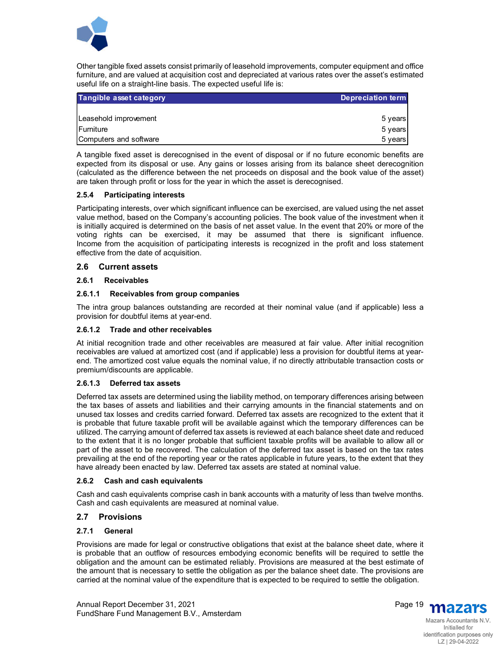

Other tangible fixed assets consist primarily of leasehold improvements, computer equipment and office furniture, and are valued at acquisition cost and depreciated at various rates over the asset's estimated useful life on a straight-line basis. The expected useful life is:

| Tangible asset category | <b>Depreciation term</b> |
|-------------------------|--------------------------|
|                         |                          |
| Leasehold improvement   | 5 years                  |
| <b>IFurniture</b>       | 5 years                  |
| Computers and software  | 5 years                  |

A tangible fixed asset is derecognised in the event of disposal or if no future economic benefits are expected from its disposal or use. Any gains or losses arising from its balance sheet derecognition (calculated as the difference between the net proceeds on disposal and the book value of the asset) are taken through profit or loss for the year in which the asset is derecognised.

#### **2.5.4 Participating interests**

Participating interests, over which significant influence can be exercised, are valued using the net asset value method, based on the Company's accounting policies. The book value of the investment when it is initially acquired is determined on the basis of net asset value. In the event that 20% or more of the voting rights can be exercised, it may be assumed that there is significant influence. Income from the acquisition of participating interests is recognized in the profit and loss statement effective from the date of acquisition.

#### **2.6 Current assets**

#### **2.6.1 Receivables**

#### **2.6.1.1 Receivables from group companies**

The intra group balances outstanding are recorded at their nominal value (and if applicable) less a provision for doubtful items at year-end.

#### **2.6.1.2 Trade and other receivables**

At initial recognition trade and other receivables are measured at fair value. After initial recognition receivables are valued at amortized cost (and if applicable) less a provision for doubtful items at yearend. The amortized cost value equals the nominal value, if no directly attributable transaction costs or premium/discounts are applicable.

#### **2.6.1.3 Deferred tax assets**

Deferred tax assets are determined using the liability method, on temporary differences arising between the tax bases of assets and liabilities and their carrying amounts in the financial statements and on unused tax losses and credits carried forward. Deferred tax assets are recognized to the extent that it is probable that future taxable profit will be available against which the temporary differences can be utilized. The carrying amount of deferred tax assets is reviewed at each balance sheet date and reduced to the extent that it is no longer probable that sufficient taxable profits will be available to allow all or part of the asset to be recovered. The calculation of the deferred tax asset is based on the tax rates prevailing at the end of the reporting year or the rates applicable in future years, to the extent that they have already been enacted by law. Deferred tax assets are stated at nominal value.

#### **2.6.2 Cash and cash equivalents**

Cash and cash equivalents comprise cash in bank accounts with a maturity of less than twelve months. Cash and cash equivalents are measured at nominal value.

## **2.7 Provisions**

#### **2.7.1 General**

Provisions are made for legal or constructive obligations that exist at the balance sheet date, where it is probable that an outflow of resources embodying economic benefits will be required to settle the obligation and the amount can be estimated reliably. Provisions are measured at the best estimate of the amount that is necessary to settle the obligation as per the balance sheet date. The provisions are carried at the nominal value of the expenditure that is expected to be required to settle the obligation.



Mazars Accountants N.V. Initialled for identification purposes only LZ | 29-04-2022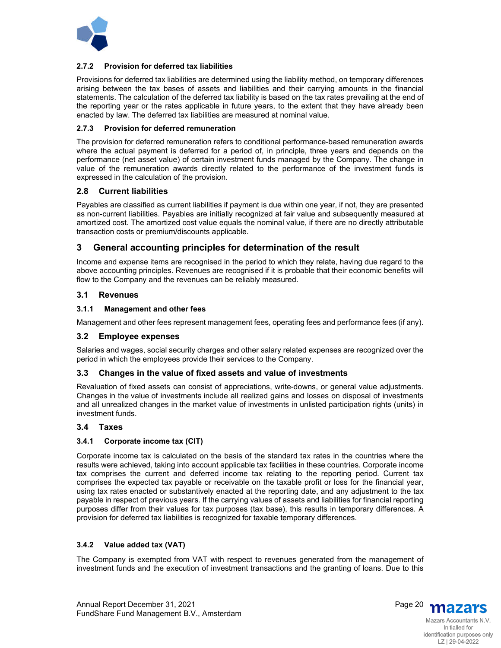

#### **2.7.2 Provision for deferred tax liabilities**

Provisions for deferred tax liabilities are determined using the liability method, on temporary differences arising between the tax bases of assets and liabilities and their carrying amounts in the financial statements. The calculation of the deferred tax liability is based on the tax rates prevailing at the end of the reporting year or the rates applicable in future years, to the extent that they have already been enacted by law. The deferred tax liabilities are measured at nominal value.

#### **2.7.3 Provision for deferred remuneration**

The provision for deferred remuneration refers to conditional performance-based remuneration awards where the actual payment is deferred for a period of, in principle, three years and depends on the performance (net asset value) of certain investment funds managed by the Company. The change in value of the remuneration awards directly related to the performance of the investment funds is expressed in the calculation of the provision.

## **2.8 Current liabilities**

Payables are classified as current liabilities if payment is due within one year, if not, they are presented as non-current liabilities. Payables are initially recognized at fair value and subsequently measured at amortized cost. The amortized cost value equals the nominal value, if there are no directly attributable transaction costs or premium/discounts applicable.

## **3 General accounting principles for determination of the result**

Income and expense items are recognised in the period to which they relate, having due regard to the above accounting principles. Revenues are recognised if it is probable that their economic benefits will flow to the Company and the revenues can be reliably measured.

## **3.1 Revenues**

#### **3.1.1 Management and other fees**

Management and other fees represent management fees, operating fees and performance fees (if any).

#### **3.2 Employee expenses**

Salaries and wages, social security charges and other salary related expenses are recognized over the period in which the employees provide their services to the Company.

#### **3.3 Changes in the value of fixed assets and value of investments**

Revaluation of fixed assets can consist of appreciations, write-downs, or general value adjustments. Changes in the value of investments include all realized gains and losses on disposal of investments and all unrealized changes in the market value of investments in unlisted participation rights (units) in investment funds.

## **3.4 Taxes**

#### **3.4.1 Corporate income tax (CIT)**

Corporate income tax is calculated on the basis of the standard tax rates in the countries where the results were achieved, taking into account applicable tax facilities in these countries. Corporate income tax comprises the current and deferred income tax relating to the reporting period. Current tax comprises the expected tax payable or receivable on the taxable profit or loss for the financial year, using tax rates enacted or substantively enacted at the reporting date, and any adjustment to the tax payable in respect of previous years. If the carrying values of assets and liabilities for financial reporting purposes differ from their values for tax purposes (tax base), this results in temporary differences. A provision for deferred tax liabilities is recognized for taxable temporary differences.

#### **3.4.2 Value added tax (VAT)**

The Company is exempted from VAT with respect to revenues generated from the management of investment funds and the execution of investment transactions and the granting of loans. Due to this



LZ | 29-04-2022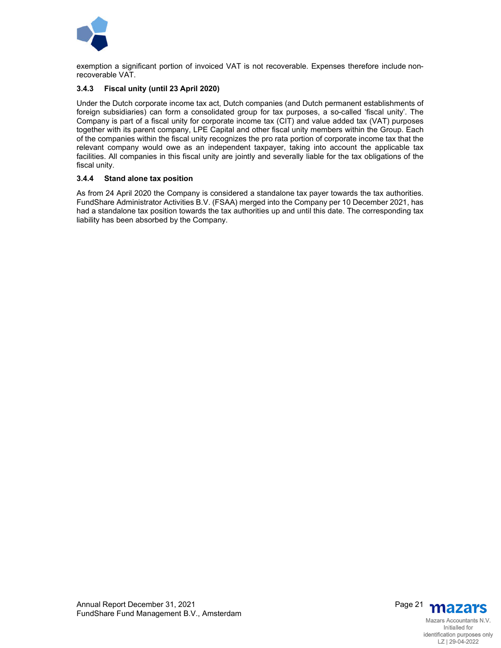

exemption a significant portion of invoiced VAT is not recoverable. Expenses therefore include nonrecoverable VAT.

#### **3.4.3 Fiscal unity (until 23 April 2020)**

Under the Dutch corporate income tax act, Dutch companies (and Dutch permanent establishments of foreign subsidiaries) can form a consolidated group for tax purposes, a so-called 'fiscal unity'. The Company is part of a fiscal unity for corporate income tax (CIT) and value added tax (VAT) purposes together with its parent company, LPE Capital and other fiscal unity members within the Group. Each of the companies within the fiscal unity recognizes the pro rata portion of corporate income tax that the relevant company would owe as an independent taxpayer, taking into account the applicable tax facilities. All companies in this fiscal unity are jointly and severally liable for the tax obligations of the fiscal unity.

#### **3.4.4 Stand alone tax position**

As from 24 April 2020 the Company is considered a standalone tax payer towards the tax authorities. FundShare Administrator Activities B.V. (FSAA) merged into the Company per 10 December 2021, has had a standalone tax position towards the tax authorities up and until this date. The corresponding tax liability has been absorbed by the Company.

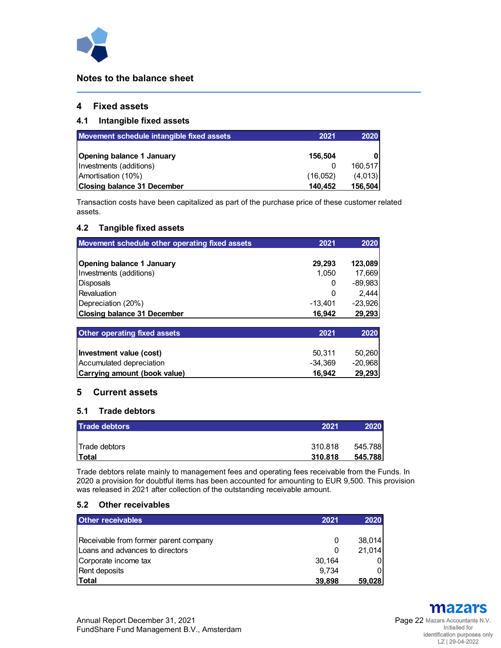

## **Notes to the balance sheet**

## **4 Fixed assets**

## **4.1 Intangible fixed assets**

| Movement schedule intangible fixed assets | 2021     | 2020    |
|-------------------------------------------|----------|---------|
| <b>Opening balance 1 January</b>          | 156,504  |         |
| Investments (additions)                   |          | 160,517 |
| Amortisation (10%)                        | (16,052) | (4,013) |
| <b>Closing balance 31 December</b>        | 140.452  | 156,504 |

Transaction costs have been capitalized as part of the purchase price of these customer related assets.

## **4.2 Tangible fixed assets**

| Movement schedule other operating fixed assets | 2021    | 2020      |
|------------------------------------------------|---------|-----------|
| Opening balance 1 January                      | 29,293  | 123,089   |
| Investments (additions)                        | 1,050   | 17,669    |
| Disposals                                      | 0       | $-89,983$ |
| Revaluation                                    | 0       | 2,444     |
| Depreciation (20%)                             | -13,401 | $-23,926$ |
| <b>Closing balance 31 December</b>             | 16,942  | 29,293    |
| <b>Other operating fixed assets</b>            | 2021    | 2020      |

| Carrying amount (book value) | 16.942  | 29.293   |
|------------------------------|---------|----------|
| Accumulated depreciation     | -34.369 | -20.9681 |
| Investment value (cost)      | 50.311  | 50.260   |
|                              |         |          |

## **5 Current assets**

## **5.1 Trade debtors**

| <b>Trade debtors</b>  | 2021    | 2020    |
|-----------------------|---------|---------|
|                       |         |         |
| <b>ITrade debtors</b> | 310.818 | 545.788 |
| <b>ITotal</b>         | 310.818 | 545.788 |

Trade debtors relate mainly to management fees and operating fees receivable from the Funds. In 2020 a provision for doubtful items has been accounted for amounting to EUR 9,500. This provision was released in 2021 after collection of the outstanding receivable amount.

## **5.2 Other receivables**

| <b>Other receivables</b>                | 2021   | 2020   |
|-----------------------------------------|--------|--------|
|                                         |        |        |
| Receivable from former parent company   | 0      | 38,014 |
| <b>ILoans and advances to directors</b> | 0      | 21,014 |
| Corporate income tax                    | 30,164 |        |
| Rent deposits                           | 9.734  |        |
| l Total                                 | 39,898 | 59,028 |

mazars Initialled for identification purposes only LZ | 29-04-2022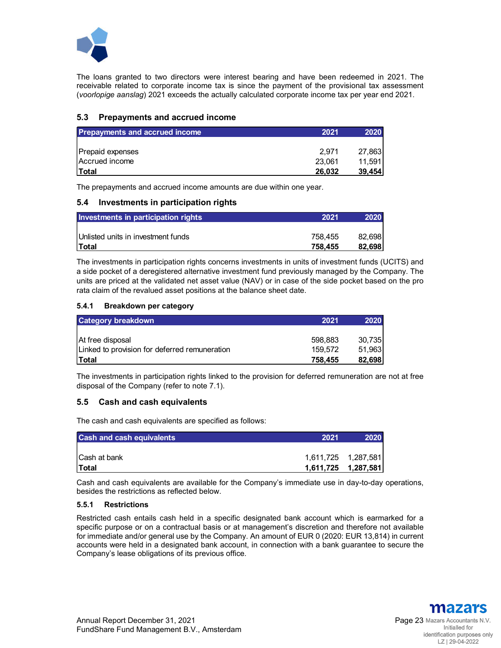

The loans granted to two directors were interest bearing and have been redeemed in 2021. The receivable related to corporate income tax is since the payment of the provisional tax assessment (*voorlopige aanslag*) 2021 exceeds the actually calculated corporate income tax per year end 2021.

## **5.3 Prepayments and accrued income**

| <b>Prepayments and accrued income</b> | 2021   | 2020   |
|---------------------------------------|--------|--------|
|                                       |        |        |
| Prepaid expenses                      | 2.971  | 27,863 |
| Accrued income                        | 23.061 | 11,591 |
| lTotal                                | 26,032 | 39.454 |

The prepayments and accrued income amounts are due within one year.

## **5.4 Investments in participation rights**

| Investments in participation rights | 2021    | 2020   |
|-------------------------------------|---------|--------|
|                                     |         |        |
| Unlisted units in investment funds  | 758.455 | 82.698 |
| <b>Total</b>                        | 758.455 | 82.698 |

The investments in participation rights concerns investments in units of investment funds (UCITS) and a side pocket of a deregistered alternative investment fund previously managed by the Company. The units are priced at the validated net asset value (NAV) or in case of the side pocket based on the pro rata claim of the revalued asset positions at the balance sheet date.

#### **5.4.1 Breakdown per category**

| <b>Category breakdown</b>                     | 2021    | 2020   |
|-----------------------------------------------|---------|--------|
|                                               |         |        |
| At free disposal                              | 598.883 | 30,735 |
| Linked to provision for deferred remuneration | 159.572 | 51,963 |
| <b>Total</b>                                  | 758,455 | 82,698 |

The investments in participation rights linked to the provision for deferred remuneration are not at free disposal of the Company (refer to note 7.1).

## **5.5 Cash and cash equivalents**

The cash and cash equivalents are specified as follows:

| <b>Cash and cash equivalents</b> | 2021 | 2020 |
|----------------------------------|------|------|
|                                  |      |      |
| <b>Cash at bank</b>              |      |      |
| <b>Total</b>                     |      |      |

Cash and cash equivalents are available for the Company's immediate use in day-to-day operations, besides the restrictions as reflected below.

#### **5.5.1 Restrictions**

Restricted cash entails cash held in a specific designated bank account which is earmarked for a specific purpose or on a contractual basis or at management's discretion and therefore not available for immediate and/or general use by the Company. An amount of EUR 0 (2020: EUR 13,814) in current accounts were held in a designated bank account, in connection with a bank guarantee to secure the Company's lease obligations of its previous office.

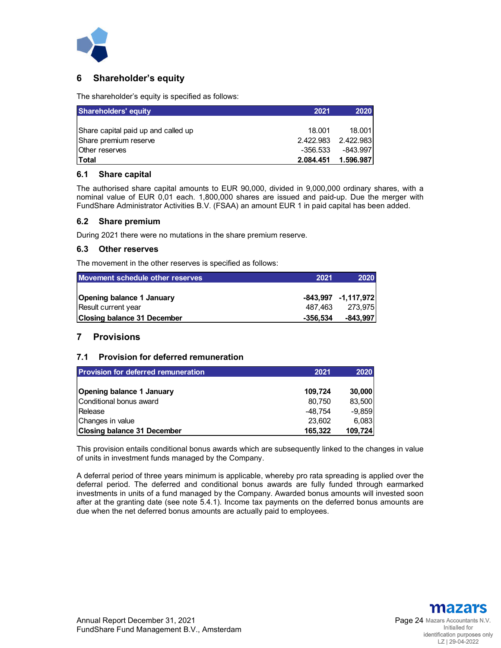

## **6 Shareholder's equity**

The shareholder's equity is specified as follows:

| <b>Shareholders' equity</b>         | 2021      | 2020       |
|-------------------------------------|-----------|------------|
|                                     |           |            |
| Share capital paid up and called up | 18.001    | 18.001     |
| Share premium reserve               | 2.422.983 | 2.422.983  |
| <b>Other reserves</b>               | -356.533  | $-843.997$ |
| <b>Total</b>                        | 2.084.451 | 1.596.987  |

#### **6.1 Share capital**

The authorised share capital amounts to EUR 90,000, divided in 9,000,000 ordinary shares, with a nominal value of EUR 0,01 each. 1,800,000 shares are issued and paid-up. Due the merger with FundShare Administrator Activities B.V. (FSAA) an amount EUR 1 in paid capital has been added.

#### **6.2 Share premium**

During 2021 there were no mutations in the share premium reserve.

#### **6.3 Other reserves**

The movement in the other reserves is specified as follows:

| Movement schedule other reserves | 2021     | 2020                    |
|----------------------------------|----------|-------------------------|
|                                  |          |                         |
| Opening balance 1 January        |          | $-843,997$ $-1,117,972$ |
| Result current year              | 487.463  | 273,975                 |
| Closing balance 31 December      | -356.534 | -843.9971               |

## **7 Provisions**

#### **7.1 Provision for deferred remuneration**

| <b>Provision for deferred remuneration</b> | 2021      | 2020     |
|--------------------------------------------|-----------|----------|
| <b>Opening balance 1 January</b>           | 109,724   | 30,000   |
| Conditional bonus award                    | 80,750    | 83,500   |
| <b>I</b> Release                           | $-48.754$ | $-9,859$ |
| Changes in value                           | 23.602    | 6,083    |
| <b>Closing balance 31 December</b>         | 165,322   | 109,724  |

This provision entails conditional bonus awards which are subsequently linked to the changes in value of units in investment funds managed by the Company.

A deferral period of three years minimum is applicable, whereby pro rata spreading is applied over the deferral period. The deferred and conditional bonus awards are fully funded through earmarked investments in units of a fund managed by the Company. Awarded bonus amounts will invested soon after at the granting date (see note 5.4.1). Income tax payments on the deferred bonus amounts are due when the net deferred bonus amounts are actually paid to employees.

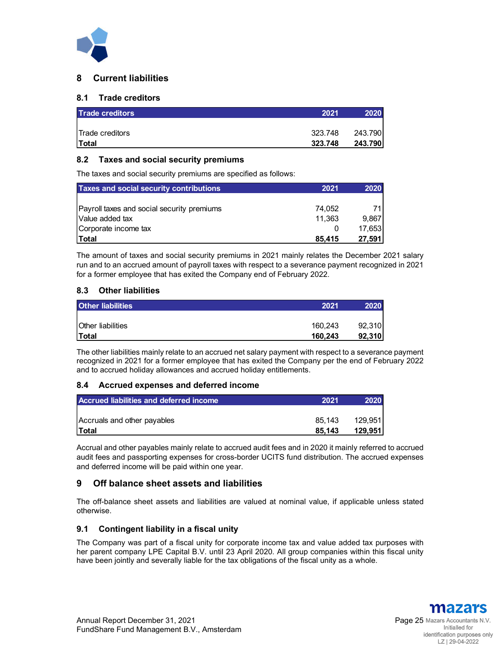

## **8 Current liabilities**

## **8.1 Trade creditors**

| <b>Trade creditors</b>  | 2021    | 2020    |
|-------------------------|---------|---------|
|                         |         |         |
| <b>ITrade creditors</b> | 323.748 | 243.790 |
| Total                   | 323.748 | 243.790 |

## **8.2 Taxes and social security premiums**

The taxes and social security premiums are specified as follows:

| <b>Taxes and social security contributions</b> | 2021   | 2020   |
|------------------------------------------------|--------|--------|
|                                                |        |        |
| Payroll taxes and social security premiums     | 74.052 |        |
| Value added tax                                | 11.363 | 9.867  |
| Corporate income tax                           |        | 17.653 |
| <b>ITotal</b>                                  | 85,415 | 27,591 |

The amount of taxes and social security premiums in 2021 mainly relates the December 2021 salary run and to an accrued amount of payroll taxes with respect to a severance payment recognized in 2021 for a former employee that has exited the Company end of February 2022.

## **8.3 Other liabilities**

| <b>Other liabilities</b> | 2021    | 2020   |
|--------------------------|---------|--------|
|                          |         |        |
| <b>Other liabilities</b> | 160.243 | 92,310 |
| <b>Total</b>             | 160.243 | 92,310 |

The other liabilities mainly relate to an accrued net salary payment with respect to a severance payment recognized in 2021 for a former employee that has exited the Company per the end of February 2022 and to accrued holiday allowances and accrued holiday entitlements.

## **8.4 Accrued expenses and deferred income**

| Accrued liabilities and deferred income | 2021   | 2020    |
|-----------------------------------------|--------|---------|
| Accruals and other payables             | 85.143 | 129,951 |
| <b>Total</b>                            | 85.143 | 129.951 |

Accrual and other payables mainly relate to accrued audit fees and in 2020 it mainly referred to accrued audit fees and passporting expenses for cross-border UCITS fund distribution. The accrued expenses and deferred income will be paid within one year.

## **9 Off balance sheet assets and liabilities**

The off-balance sheet assets and liabilities are valued at nominal value, if applicable unless stated otherwise.

## **9.1 Contingent liability in a fiscal unity**

The Company was part of a fiscal unity for corporate income tax and value added tax purposes with her parent company LPE Capital B.V. until 23 April 2020. All group companies within this fiscal unity have been jointly and severally liable for the tax obligations of the fiscal unity as a whole.

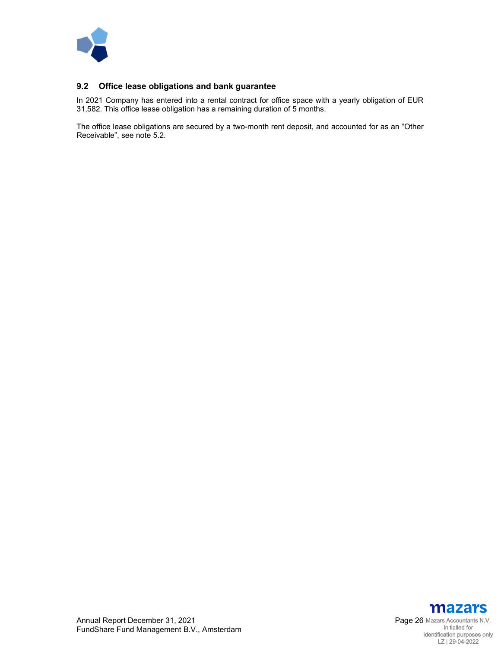

## **9.2 Office lease obligations and bank guarantee**

In 2021 Company has entered into a rental contract for office space with a yearly obligation of EUR 31,582. This office lease obligation has a remaining duration of 5 months.

The office lease obligations are secured by a two-month rent deposit, and accounted for as an "Other Receivable", see note 5.2.

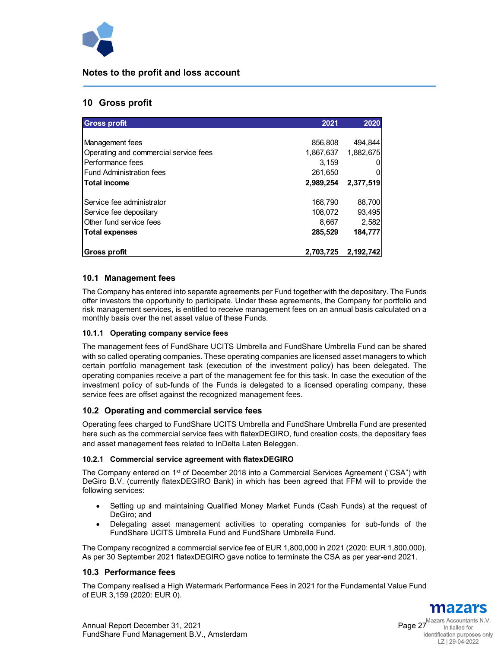

## **Notes to the profit and loss account**

## **10 Gross profit**

| <b>Gross profit</b>                   | 2021      | 2020      |
|---------------------------------------|-----------|-----------|
|                                       |           |           |
| Management fees                       | 856,808   | 494,844   |
| Operating and commercial service fees | 1,867,637 | 1,882,675 |
| Performance fees                      | 3.159     |           |
| <b>Fund Administration fees</b>       | 261,650   |           |
| <b>Total income</b>                   | 2,989,254 | 2,377,519 |
| Service fee administrator             | 168,790   | 88,700    |
| Service fee depositary                | 108,072   | 93,495    |
| Other fund service fees               | 8,667     | 2,582     |
| <b>Total expenses</b>                 | 285,529   | 184,777   |
| Gross profit                          | 2,703,725 | 2,192,742 |

## **10.1 Management fees**

The Company has entered into separate agreements per Fund together with the depositary. The Funds offer investors the opportunity to participate. Under these agreements, the Company for portfolio and risk management services, is entitled to receive management fees on an annual basis calculated on a monthly basis over the net asset value of these Funds.

#### **10.1.1 Operating company service fees**

The management fees of FundShare UCITS Umbrella and FundShare Umbrella Fund can be shared with so called operating companies. These operating companies are licensed asset managers to which certain portfolio management task (execution of the investment policy) has been delegated. The operating companies receive a part of the management fee for this task. In case the execution of the investment policy of sub-funds of the Funds is delegated to a licensed operating company, these service fees are offset against the recognized management fees.

## **10.2 Operating and commercial service fees**

Operating fees charged to FundShare UCITS Umbrella and FundShare Umbrella Fund are presented here such as the commercial service fees with flatexDEGIRO, fund creation costs, the depositary fees and asset management fees related to InDelta Laten Beleggen.

#### **10.2.1 Commercial service agreement with flatexDEGIRO**

The Company entered on 1<sup>st</sup> of December 2018 into a Commercial Services Agreement ("CSA") with DeGiro B.V. (currently flatexDEGIRO Bank) in which has been agreed that FFM will to provide the following services:

- Setting up and maintaining Qualified Money Market Funds (Cash Funds) at the request of DeGiro; and
- Delegating asset management activities to operating companies for sub-funds of the FundShare UCITS Umbrella Fund and FundShare Umbrella Fund.

The Company recognized a commercial service fee of EUR 1,800,000 in 2021 (2020: EUR 1,800,000). As per 30 September 2021 flatexDEGIRO gave notice to terminate the CSA as per year-end 2021.

#### **10.3 Performance fees**

The Company realised a High Watermark Performance Fees in 2021 for the Fundamental Value Fund of EUR 3,159 (2020: EUR 0).

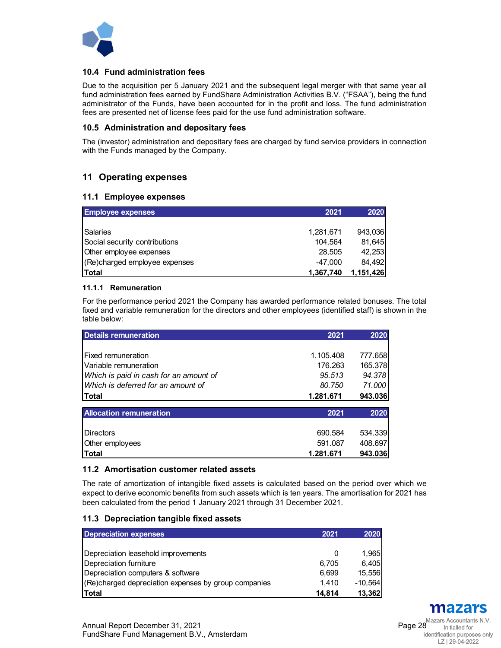

## **10.4 Fund administration fees**

Due to the acquisition per 5 January 2021 and the subsequent legal merger with that same year all fund administration fees earned by FundShare Administration Activities B.V. ("FSAA"), being the fund administrator of the Funds, have been accounted for in the profit and loss. The fund administration fees are presented net of license fees paid for the use fund administration software.

#### **10.5 Administration and depositary fees**

The (investor) administration and depositary fees are charged by fund service providers in connection with the Funds managed by the Company.

## **11 Operating expenses**

#### **11.1 Employee expenses**

| <b>Employee expenses</b>      | 2021      | 2020      |
|-------------------------------|-----------|-----------|
|                               |           |           |
| Salaries                      | 1,281,671 | 943,036   |
| Social security contributions | 104.564   | 81,645    |
| Other employee expenses       | 28,505    | 42,253    |
| (Re)charged employee expenses | $-47.000$ | 84.492    |
| Total                         | 1,367,740 | 1,151,426 |

## **11.1.1 Remuneration**

For the performance period 2021 the Company has awarded performance related bonuses. The total fixed and variable remuneration for the directors and other employees (identified staff) is shown in the table below:

| <b>Details remuneration</b>            | 2021      | 2020    |
|----------------------------------------|-----------|---------|
|                                        |           |         |
| Fixed remuneration                     | 1.105.408 | 777.658 |
| l Variable remuneration                | 176.263   | 165.378 |
| Which is paid in cash for an amount of | 95.513    | 94.378  |
| Which is deferred for an amount of     | 80.750    | 71.000  |
| Total                                  | 1.281.671 | 943.036 |
| <b>Allocation remuneration</b>         | 2021      | 2020    |
| <b>IDirectors</b>                      | 690.584   | 534.339 |
| Other employees                        | 591.087   | 408.697 |
| <b>Total</b>                           | 1.281.671 | 943.036 |

## **11.2 Amortisation customer related assets**

The rate of amortization of intangible fixed assets is calculated based on the period over which we expect to derive economic benefits from such assets which is ten years. The amortisation for 2021 has been calculated from the period 1 January 2021 through 31 December 2021.

#### **11.3 Depreciation tangible fixed assets**

| <b>Depreciation expenses</b>                         | 2021     | 2020    |
|------------------------------------------------------|----------|---------|
|                                                      |          |         |
| Depreciation leasehold improvements                  | $\Omega$ | 1,965   |
| Depreciation furniture                               | 6.705    | 6,405   |
| Depreciation computers & software                    | 6.699    | 15,556  |
| (Re)charged depreciation expenses by group companies | 1.410    | -10.564 |
| <b>Total</b>                                         | 14.814   | 13,362  |

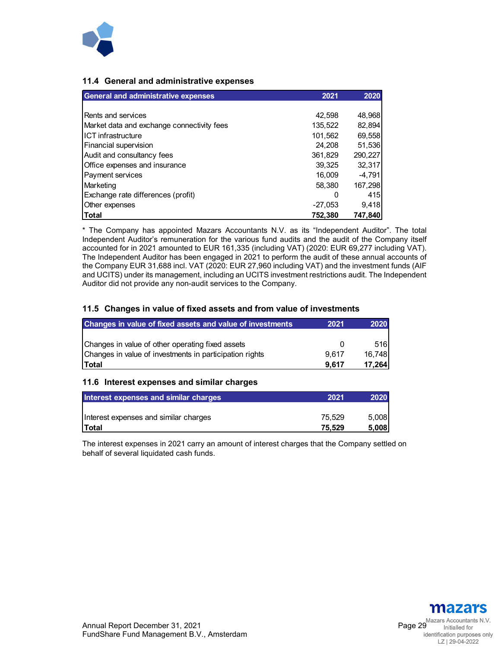

## **11.4 General and administrative expenses**

| <b>General and administrative expenses</b> | 2021      | 2020     |
|--------------------------------------------|-----------|----------|
|                                            |           |          |
| Rents and services                         | 42,598    | 48,968   |
| Market data and exchange connectivity fees | 135,522   | 82,894   |
| ICT infrastructure                         | 101,562   | 69,558   |
| Financial supervision                      | 24.208    | 51,536   |
| Audit and consultancy fees                 | 361,829   | 290,227  |
| Office expenses and insurance              | 39,325    | 32,317   |
| Payment services                           | 16.009    | $-4,791$ |
| Marketing                                  | 58.380    | 167,298  |
| Exchange rate differences (profit)         | 0         | 415      |
| Other expenses                             | $-27,053$ | 9.418    |
| <b>Total</b>                               | 752.380   | 747.840  |

\* The Company has appointed Mazars Accountants N.V. as its "Independent Auditor". The total Independent Auditor's remuneration for the various fund audits and the audit of the Company itself accounted for in 2021 amounted to EUR 161,335 (including VAT) (2020: EUR 69,277 including VAT). The Independent Auditor has been engaged in 2021 to perform the audit of these annual accounts of the Company EUR 31,688 incl. VAT (2020: EUR 27,960 including VAT) and the investment funds (AIF and UCITS) under its management, including an UCITS investment restrictions audit. The Independent Auditor did not provide any non-audit services to the Company.

## **11.5 Changes in value of fixed assets and from value of investments**

| Changes in value of fixed assets and value of investments | 2021  | 2020   |
|-----------------------------------------------------------|-------|--------|
|                                                           |       |        |
| Changes in value of other operating fixed assets          |       | 516    |
| Changes in value of investments in participation rights   | 9.617 | 16,748 |
| Total                                                     | 9.617 | 17,264 |

#### **11.6 Interest expenses and similar charges**

| Interest expenses and similar charges | 2021   | 2020  |
|---------------------------------------|--------|-------|
|                                       |        |       |
| Interest expenses and similar charges | 75.529 | 5.008 |
| <b>Total</b>                          | 75.529 | 5.008 |

The interest expenses in 2021 carry an amount of interest charges that the Company settled on behalf of several liquidated cash funds.

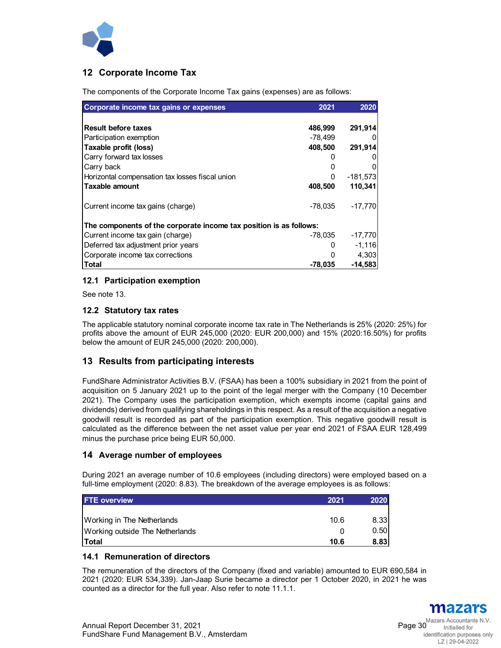

## **12 Corporate Income Tax**

The components of the Corporate Income Tax gains (expenses) are as follows:

| Corporate income tax gains or expenses                             | 2021      | 2020       |  |
|--------------------------------------------------------------------|-----------|------------|--|
|                                                                    |           |            |  |
| <b>Result before taxes</b>                                         | 486,999   | 291,914    |  |
| Participation exemption                                            | $-78,499$ |            |  |
| Taxable profit (loss)                                              | 408,500   | 291,914    |  |
| Carry forward tax losses                                           |           |            |  |
| Carry back                                                         |           |            |  |
| Horizontal compensation tax losses fiscal union                    | 0         | $-181,573$ |  |
| Taxable amount                                                     | 408,500   | 110,341    |  |
| Current income tax gains (charge)                                  | $-78.035$ | $-17,770$  |  |
| The components of the corporate income tax position is as follows: |           |            |  |
| Current income tax gain (charge)                                   | -78.035   | $-17,770$  |  |
| Deferred tax adjustment prior years                                |           | $-1,116$   |  |
| Corporate income tax corrections                                   |           | 4,303      |  |
| Total                                                              | $-78,035$ | -14,583    |  |

## **12.1 Participation exemption**

See note 13.

## **12.2 Statutory tax rates**

The applicable statutory nominal corporate income tax rate in The Netherlands is 25% (2020: 25%) for profits above the amount of EUR 245,000 (2020: EUR 200,000) and 15% (2020:16.50%) for profits below the amount of EUR 245,000 (2020: 200,000).

## **13 Results from participating interests**

FundShare Administrator Activities B.V. (FSAA) has been a 100% subsidiary in 2021 from the point of acquisition on 5 January 2021 up to the point of the legal merger with the Company (10 December 2021). The Company uses the participation exemption, which exempts income (capital gains and dividends) derived from qualifying shareholdings in this respect. As a result of the acquisition a negative goodwill result is recorded as part of the participation exemption. This negative goodwill result is calculated as the difference between the net asset value per year end 2021 of FSAA EUR 128,499 minus the purchase price being EUR 50,000.

## **14 Average number of employees**

During 2021 an average number of 10.6 employees (including directors) were employed based on a full-time employment (2020: 8.83). The breakdown of the average employees is as follows:

| <b>FTE overview</b>               | 2021 | 2020 |
|-----------------------------------|------|------|
|                                   |      |      |
| <b>Working in The Netherlands</b> | 10.6 | 8.33 |
| Working outside The Netherlands   |      | 0.50 |
| <b>Total</b>                      | 10.6 | 8.83 |

## **14.1 Remuneration of directors**

The remuneration of the directors of the Company (fixed and variable) amounted to EUR 690,584 in 2021 (2020: EUR 534,339). Jan-Jaap Surie became a director per 1 October 2020, in 2021 he was counted as a director for the full year. Also refer to note 11.1.1.

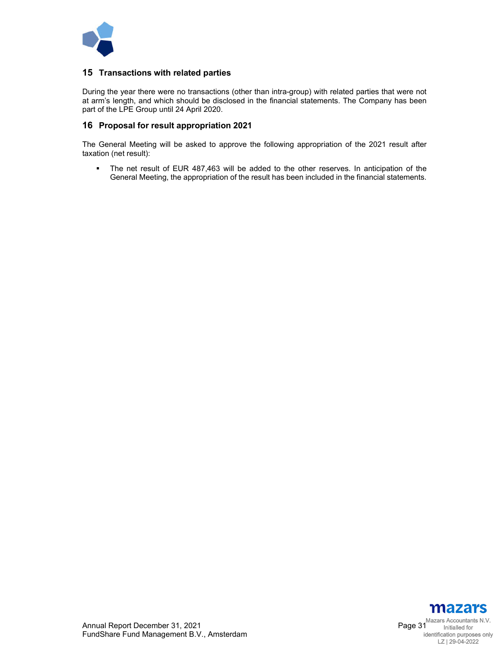

## **15 Transactions with related parties**

During the year there were no transactions (other than intra-group) with related parties that were not at arm's length, and which should be disclosed in the financial statements. The Company has been part of the LPE Group until 24 April 2020.

## **16 Proposal for result appropriation 2021**

The General Meeting will be asked to approve the following appropriation of the 2021 result after taxation (net result):

 The net result of EUR 487,463 will be added to the other reserves. In anticipation of the General Meeting, the appropriation of the result has been included in the financial statements.

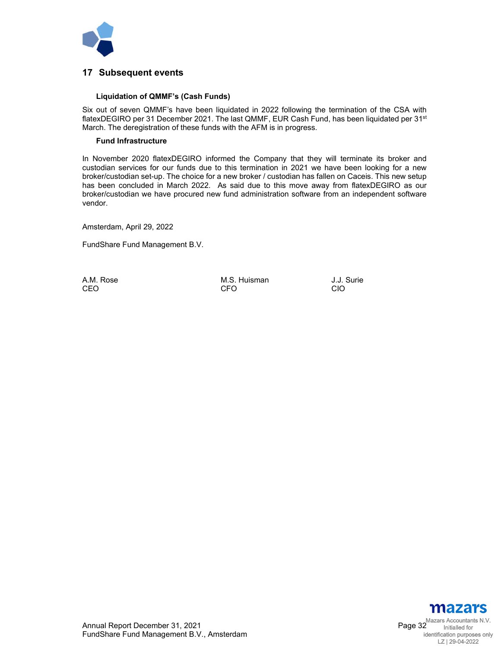

## **17 Subsequent events**

#### **Liquidation of QMMF's (Cash Funds)**

Six out of seven QMMF's have been liquidated in 2022 following the termination of the CSA with flatexDEGIRO per 31 December 2021. The last QMMF, EUR Cash Fund, has been liquidated per 31<sup>st</sup> March. The deregistration of these funds with the AFM is in progress.

#### **Fund Infrastructure**

In November 2020 flatexDEGIRO informed the Company that they will terminate its broker and custodian services for our funds due to this termination in 2021 we have been looking for a new broker/custodian set-up. The choice for a new broker / custodian has fallen on Caceis. This new setup has been concluded in March 2022. As said due to this move away from flatexDEGIRO as our broker/custodian we have procured new fund administration software from an independent software vendor.

Amsterdam, April 29, 2022

FundShare Fund Management B.V.

A.M. Rose M.S. Huisman J.J. Surie<br>CEO CIO CEO CFO CIO

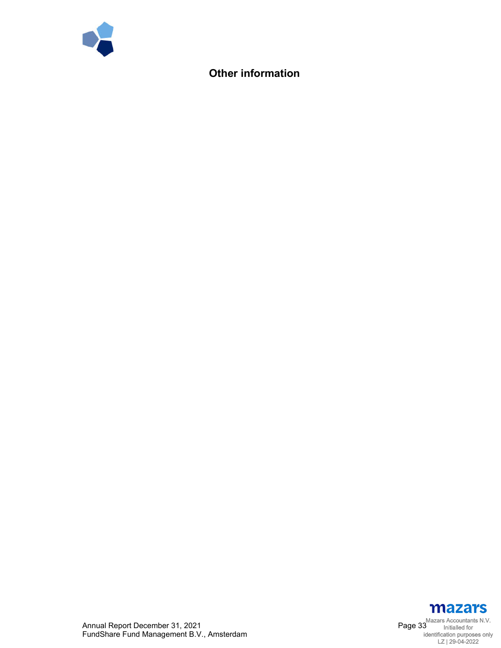

## **Other information**



Annual Report December 31, 2021 Page 33 FundShare Fund Management B.V., Amsterdam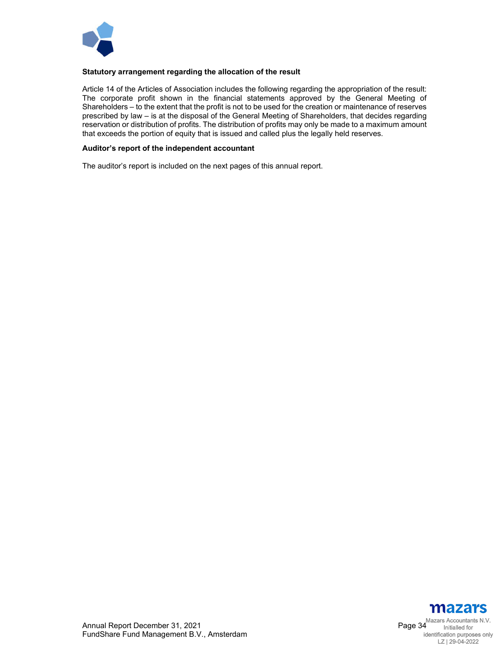

#### **Statutory arrangement regarding the allocation of the result**

Article 14 of the Articles of Association includes the following regarding the appropriation of the result: The corporate profit shown in the financial statements approved by the General Meeting of Shareholders – to the extent that the profit is not to be used for the creation or maintenance of reserves prescribed by law – is at the disposal of the General Meeting of Shareholders, that decides regarding reservation or distribution of profits. The distribution of profits may only be made to a maximum amount that exceeds the portion of equity that is issued and called plus the legally held reserves.

#### **Auditor's report of the independent accountant**

The auditor's report is included on the next pages of this annual report.

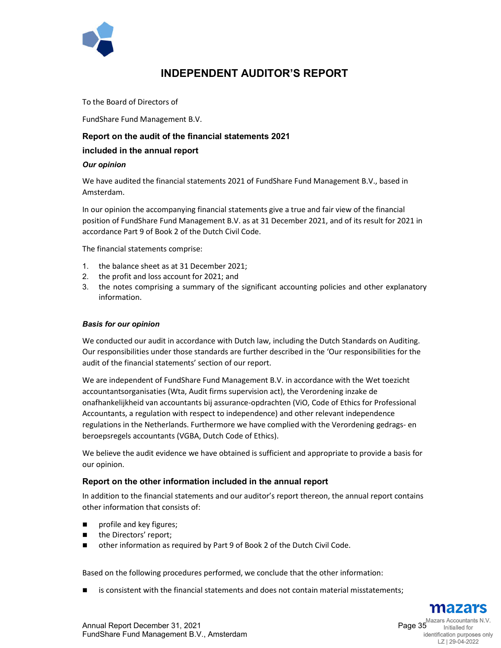

## **INDEPENDENT AUDITOR'S REPORT**

To the Board of Directors of

FundShare Fund Management B.V.

## **Report on the audit of the financial statements 2021**

## **included in the annual report**

#### *Our opinion*

We have audited the financial statements 2021 of FundShare Fund Management B.V., based in Amsterdam.

In our opinion the accompanying financial statements give a true and fair view of the financial position of FundShare Fund Management B.V. as at 31 December 2021, and of its result for 2021 in accordance Part 9 of Book 2 of the Dutch Civil Code.

The financial statements comprise:

- 1. the balance sheet as at 31 December 2021;
- 2. the profit and loss account for 2021; and
- 3. the notes comprising a summary of the significant accounting policies and other explanatory information.

#### *Basis for our opinion*

We conducted our audit in accordance with Dutch law, including the Dutch Standards on Auditing. Our responsibilities under those standards are further described in the 'Our responsibilities for the audit of the financial statements' section of our report.

We are independent of FundShare Fund Management B.V. in accordance with the Wet toezicht accountantsorganisaties (Wta, Audit firms supervision act), the Verordening inzake de onafhankelijkheid van accountants bij assurance-opdrachten (ViO, Code of Ethics for Professional Accountants, a regulation with respect to independence) and other relevant independence regulations in the Netherlands. Furthermore we have complied with the Verordening gedrags- en beroepsregels accountants (VGBA, Dutch Code of Ethics).

We believe the audit evidence we have obtained is sufficient and appropriate to provide a basis for our opinion.

#### **Report on the other information included in the annual report**

In addition to the financial statements and our auditor's report thereon, the annual report contains other information that consists of:

- **profile and key figures;**
- the Directors' report;
- other information as required by Part 9 of Book 2 of the Dutch Civil Code.

Based on the following procedures performed, we conclude that the other information:

is consistent with the financial statements and does not contain material misstatements;



LZ | 29-04-2022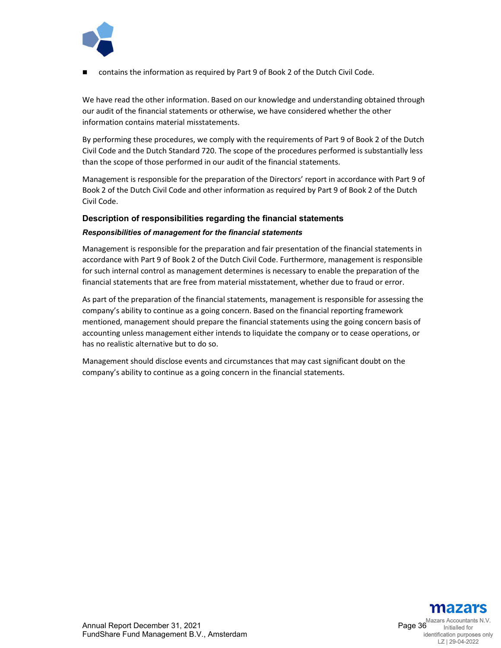

contains the information as required by Part 9 of Book 2 of the Dutch Civil Code.

We have read the other information. Based on our knowledge and understanding obtained through our audit of the financial statements or otherwise, we have considered whether the other information contains material misstatements.

By performing these procedures, we comply with the requirements of Part 9 of Book 2 of the Dutch Civil Code and the Dutch Standard 720. The scope of the procedures performed is substantially less than the scope of those performed in our audit of the financial statements.

Management is responsible for the preparation of the Directors' report in accordance with Part 9 of Book 2 of the Dutch Civil Code and other information as required by Part 9 of Book 2 of the Dutch Civil Code.

## **Description of responsibilities regarding the financial statements**

#### *Responsibilities of management for the financial statements*

Management is responsible for the preparation and fair presentation of the financial statements in accordance with Part 9 of Book 2 of the Dutch Civil Code. Furthermore, management is responsible for such internal control as management determines is necessary to enable the preparation of the financial statements that are free from material misstatement, whether due to fraud or error.

As part of the preparation of the financial statements, management is responsible for assessing the company's ability to continue as a going concern. Based on the financial reporting framework mentioned, management should prepare the financial statements using the going concern basis of accounting unless management either intends to liquidate the company or to cease operations, or has no realistic alternative but to do so.

Management should disclose events and circumstances that may cast significant doubt on the company's ability to continue as a going concern in the financial statements.